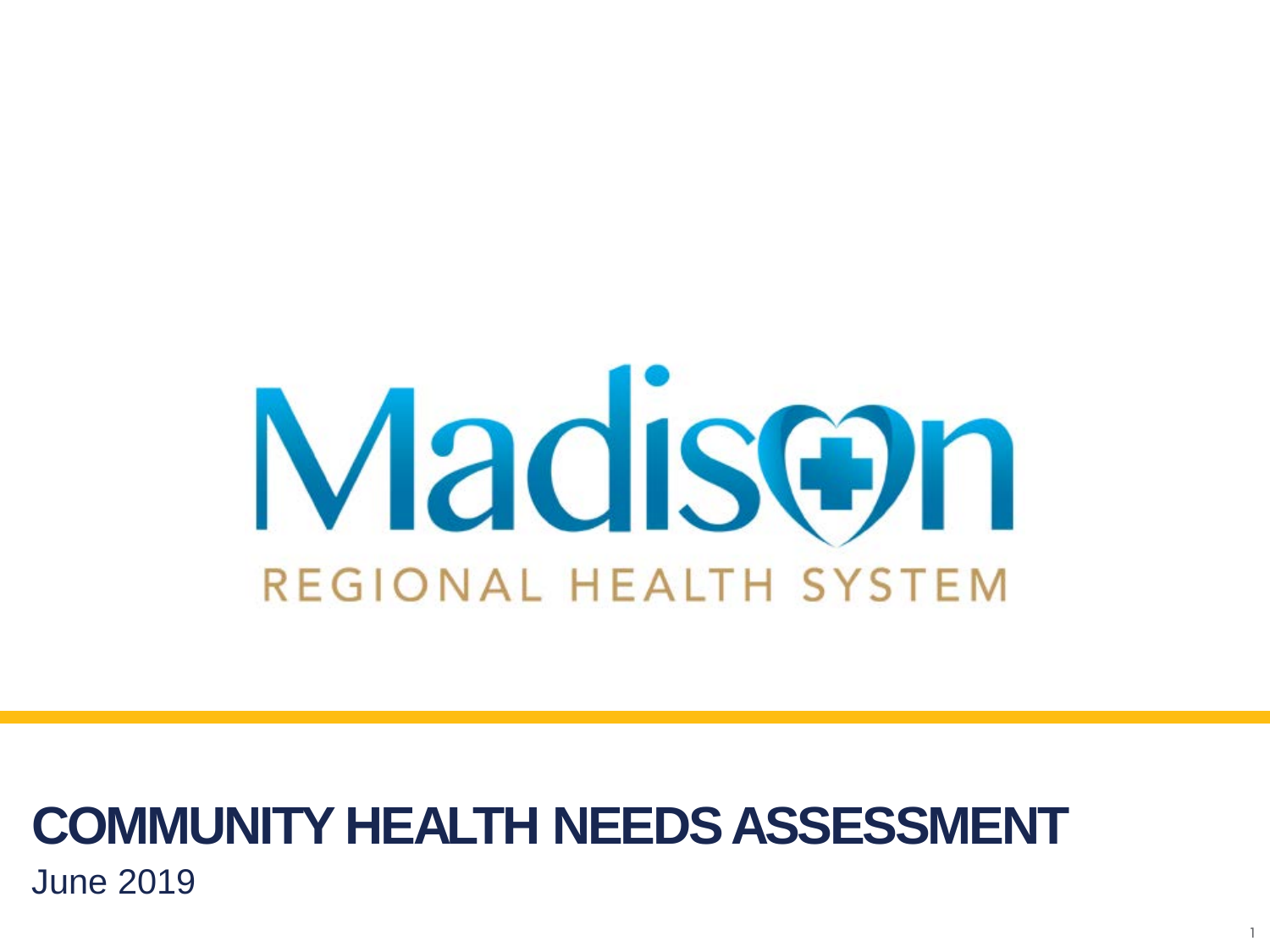

1

### **COMMUNITY HEALTH NEEDS ASSESSMENT** June 2019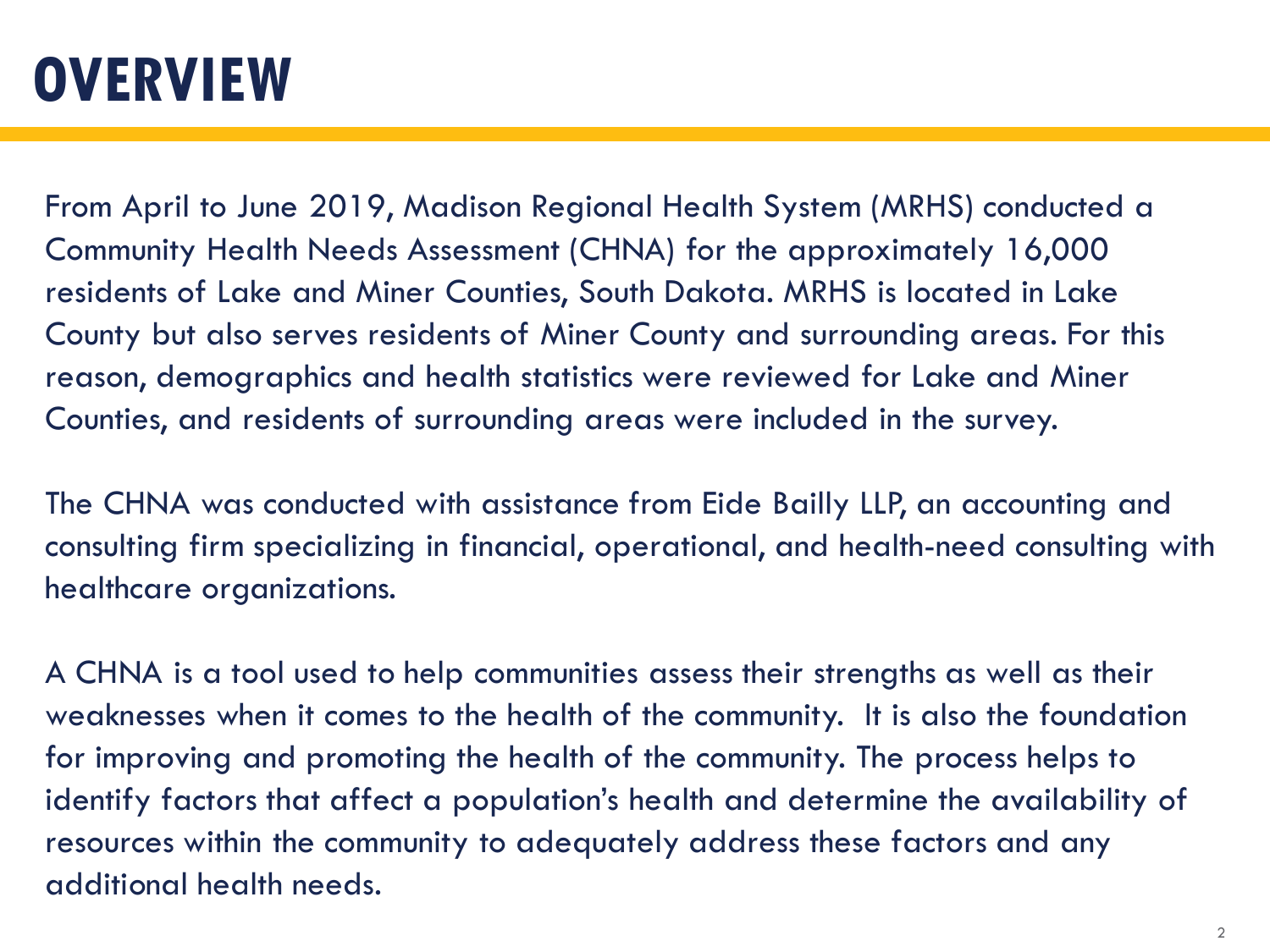### **OVERVIEW**

From April to June 2019, Madison Regional Health System (MRHS) conducted a Community Health Needs Assessment (CHNA) for the approximately 16,000 residents of Lake and Miner Counties, South Dakota. MRHS is located in Lake County but also serves residents of Miner County and surrounding areas. For this reason, demographics and health statistics were reviewed for Lake and Miner Counties, and residents of surrounding areas were included in the survey.

The CHNA was conducted with assistance from Eide Bailly LLP, an accounting and consulting firm specializing in financial, operational, and health-need consulting with healthcare organizations.

A CHNA is a tool used to help communities assess their strengths as well as their weaknesses when it comes to the health of the community. It is also the foundation for improving and promoting the health of the community. The process helps to identify factors that affect a population's health and determine the availability of resources within the community to adequately address these factors and any additional health needs.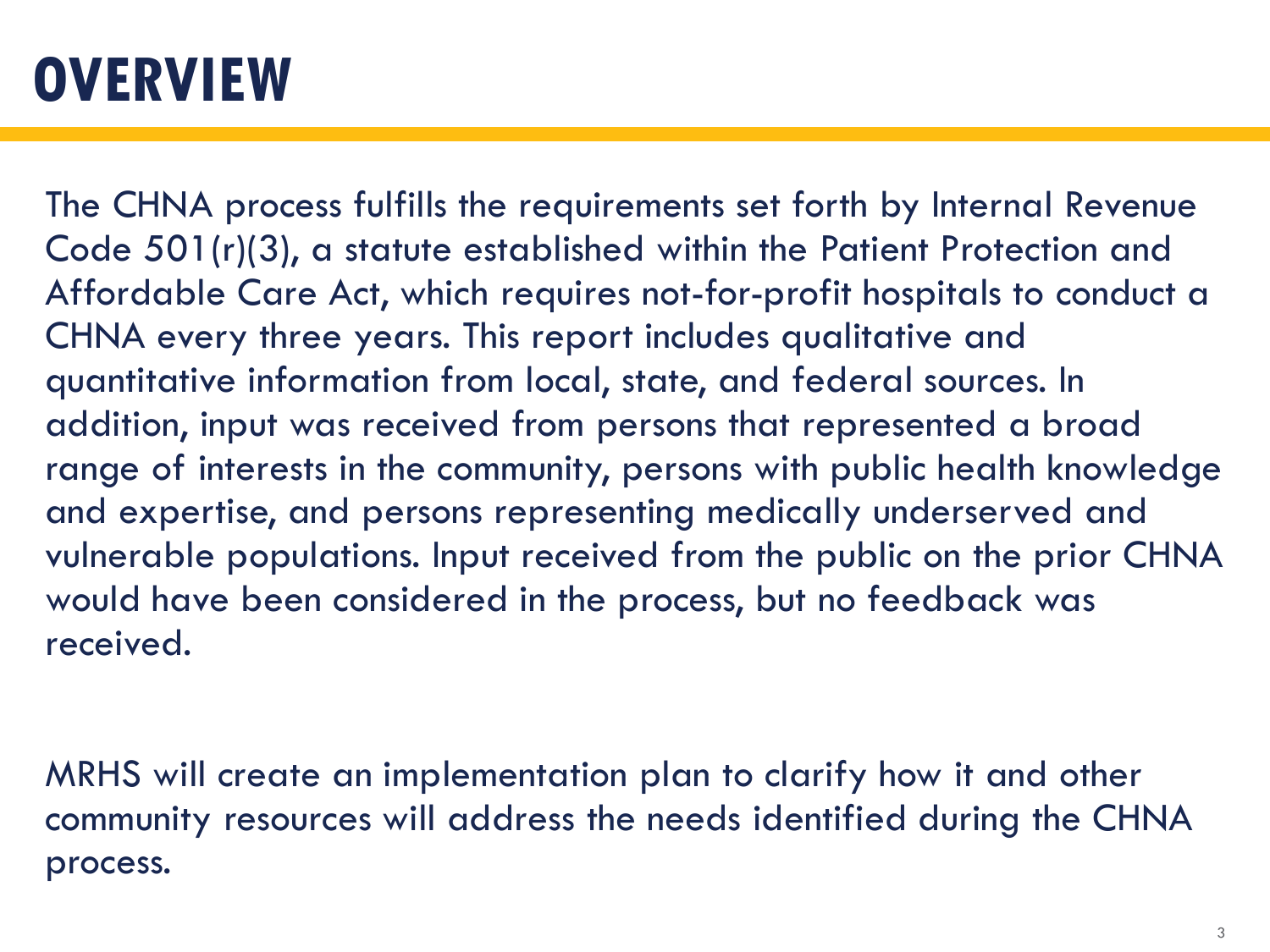### **OVERVIEW**

The CHNA process fulfills the requirements set forth by Internal Revenue Code 501(r)(3), a statute established within the Patient Protection and Affordable Care Act, which requires not-for-profit hospitals to conduct a CHNA every three years. This report includes qualitative and quantitative information from local, state, and federal sources. In addition, input was received from persons that represented a broad range of interests in the community, persons with public health knowledge and expertise, and persons representing medically underserved and vulnerable populations. Input received from the public on the prior CHNA would have been considered in the process, but no feedback was received.

MRHS will create an implementation plan to clarify how it and other community resources will address the needs identified during the CHNA process.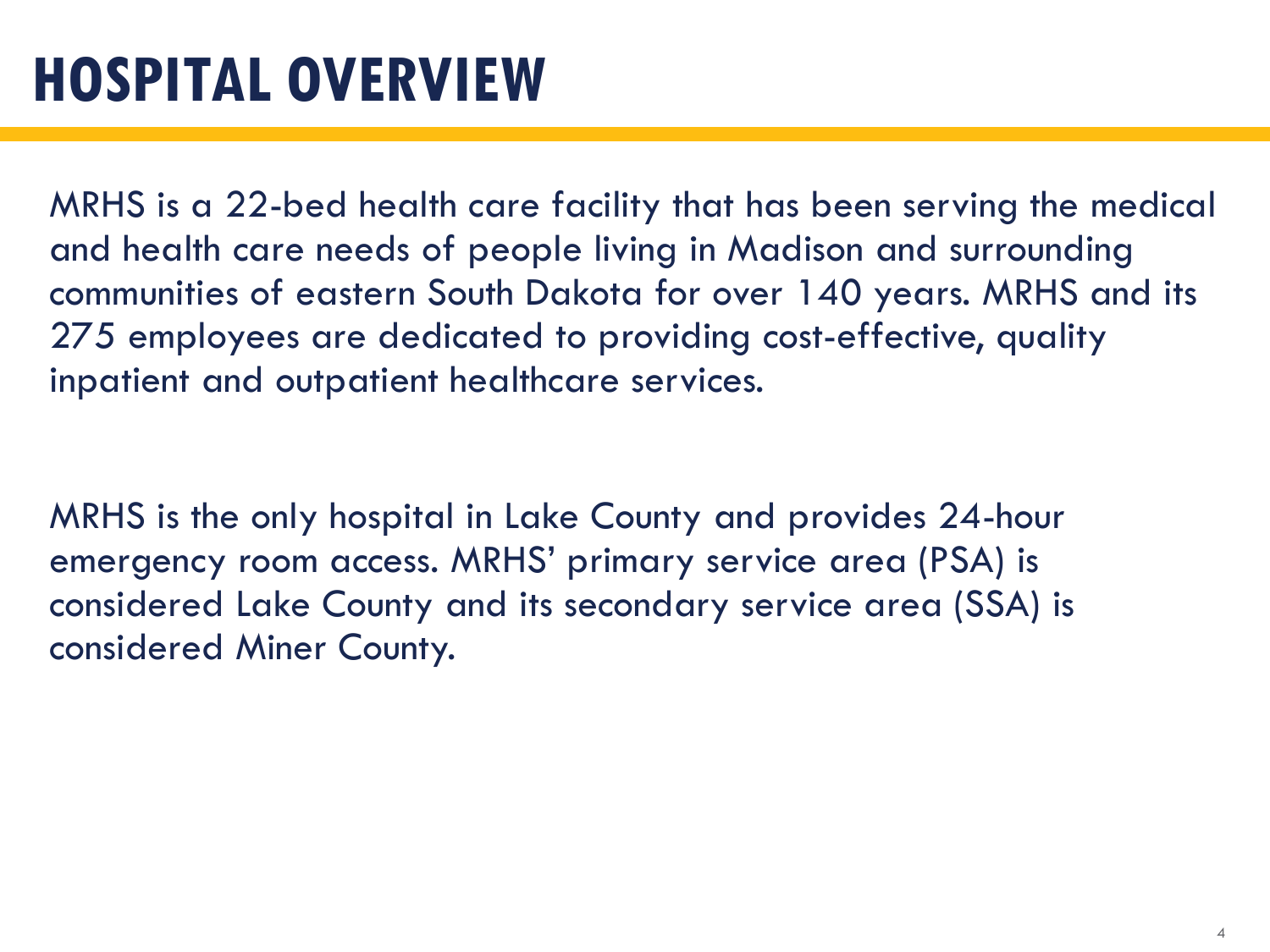MRHS is a 22-bed health care facility that has been serving the medical and health care needs of people living in Madison and surrounding communities of eastern South Dakota for over 140 years. MRHS and its 275 employees are dedicated to providing cost-effective, quality inpatient and outpatient healthcare services.

MRHS is the only hospital in Lake County and provides 24-hour emergency room access. MRHS' primary service area (PSA) is considered Lake County and its secondary service area (SSA) is considered Miner County.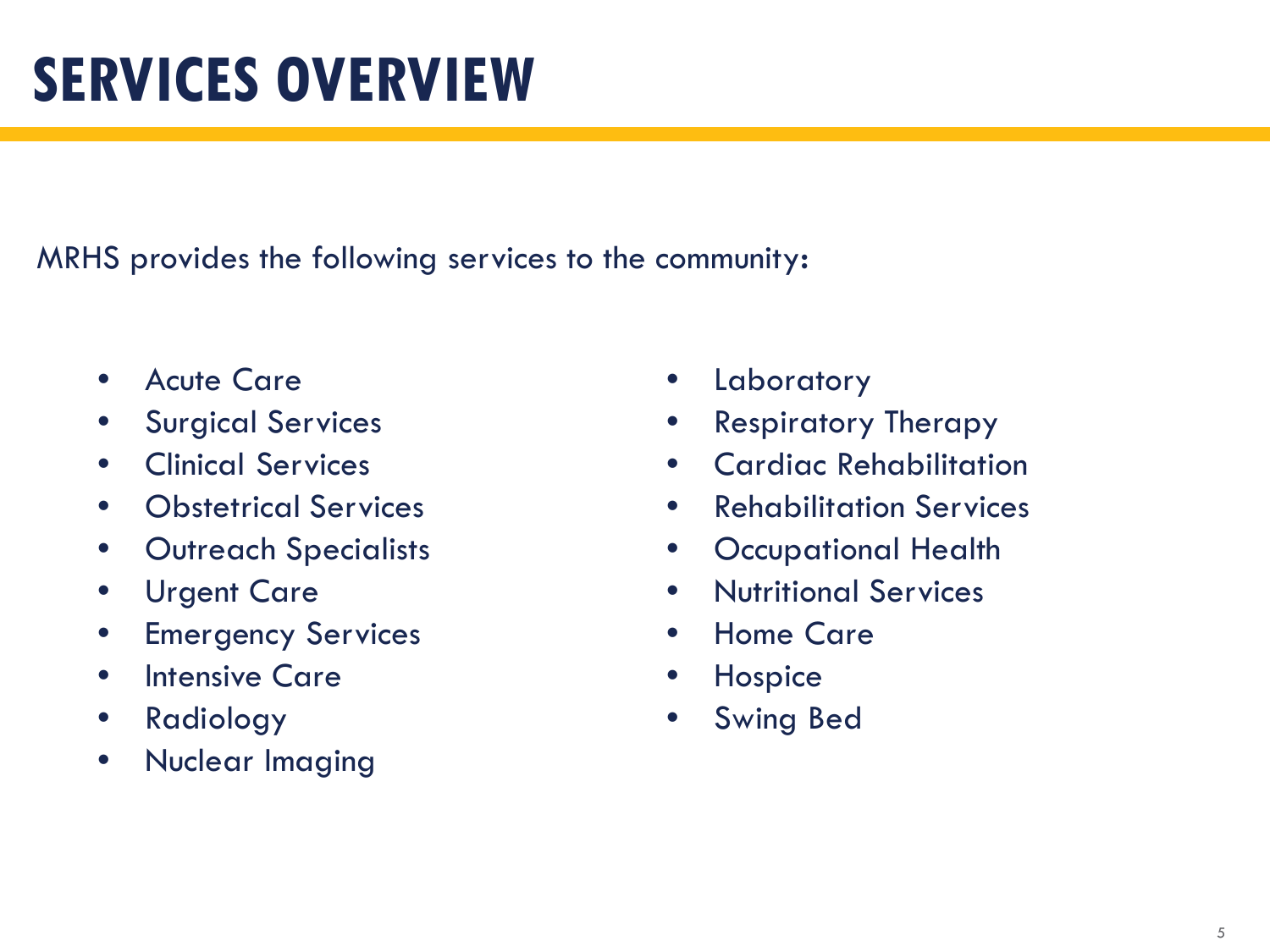## **SERVICES OVERVIEW**

MRHS provides the following services to the community:

- Acute Care
- Surgical Services
- Clinical Services
- Obstetrical Services
- Outreach Specialists
- Urgent Care
- Emergency Services
- Intensive Care
- Radiology
- Nuclear Imaging
- **Laboratory**
- Respiratory Therapy
- Cardiac Rehabilitation
- Rehabilitation Services
- Occupational Health
- Nutritional Services
- Home Care
- **Hospice**
- Swing Bed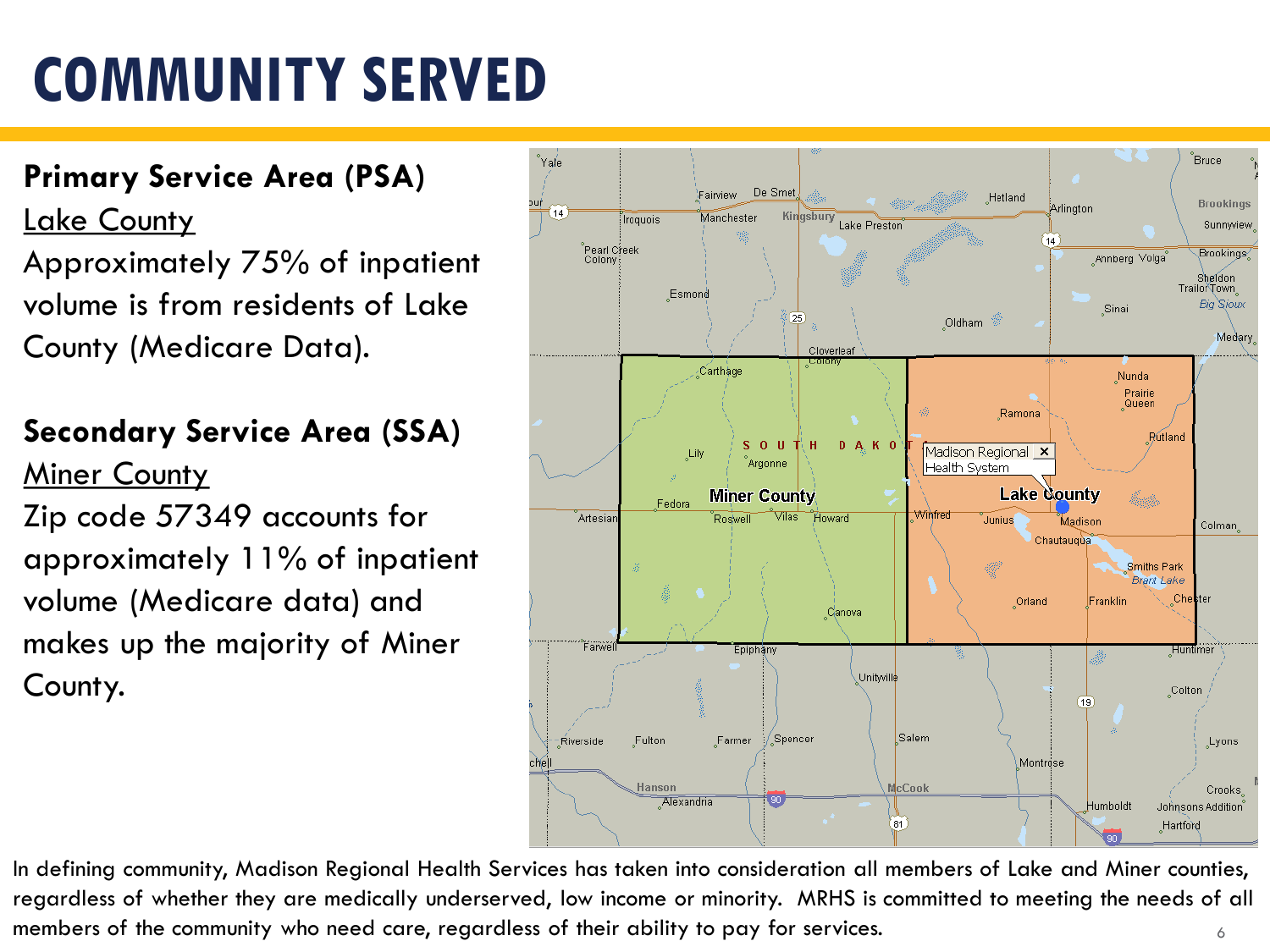### **Primary Service Area (PSA)**

**Lake County** 

Approximately 75% of inpatient volume is from residents of Lake County (Medicare Data).

### **Secondary Service Area (SSA)**

**Miner County** 

Zip code 57349 accounts for approximately 11% of inpatient volume (Medicare data) and makes up the majority of Miner County.



6 In defining community, Madison Regional Health Services has taken into consideration all members of Lake and Miner counties, regardless of whether they are medically underserved, low income or minority. MRHS is committed to meeting the needs of all members of the community who need care, regardless of their ability to pay for services.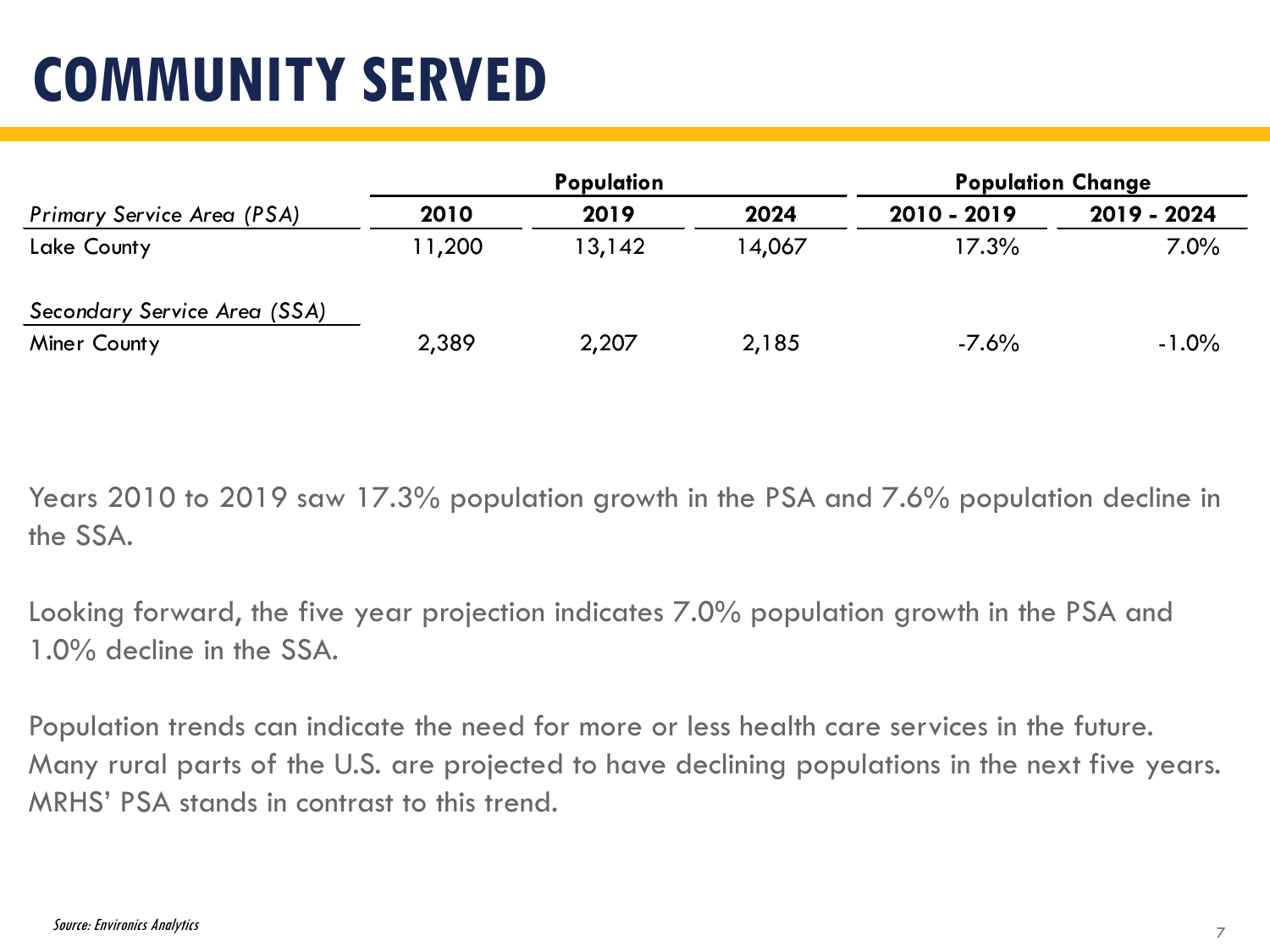|                                   |        | <b>Population</b> |        | <b>Population Change</b> |             |  |
|-----------------------------------|--------|-------------------|--------|--------------------------|-------------|--|
| <b>Primary Service Area (PSA)</b> | 2010   | 2019              | 2024   | 2010 - 2019              | 2019 - 2024 |  |
| Lake County                       | 11,200 | 13,142            | 14,067 | 17.3%                    | $7.0\%$     |  |
| Secondary Service Area (SSA)      |        |                   |        |                          |             |  |
| Miner County                      | 2,389  | 2,207             | 2,185  | $-7.6\%$                 | $-1.0%$     |  |

Years 2010 to 2019 saw 17.3% population growth in the PSA and 7.6% population decline in the SSA.

Looking forward, the five year projection indicates 7.0% population growth in the PSA and 1.0% decline in the SSA.

Population trends can indicate the need for more or less health care services in the future. Many rural parts of the U.S. are projected to have declining populations in the next five years. MRHS' PSA stands in contrast to this trend.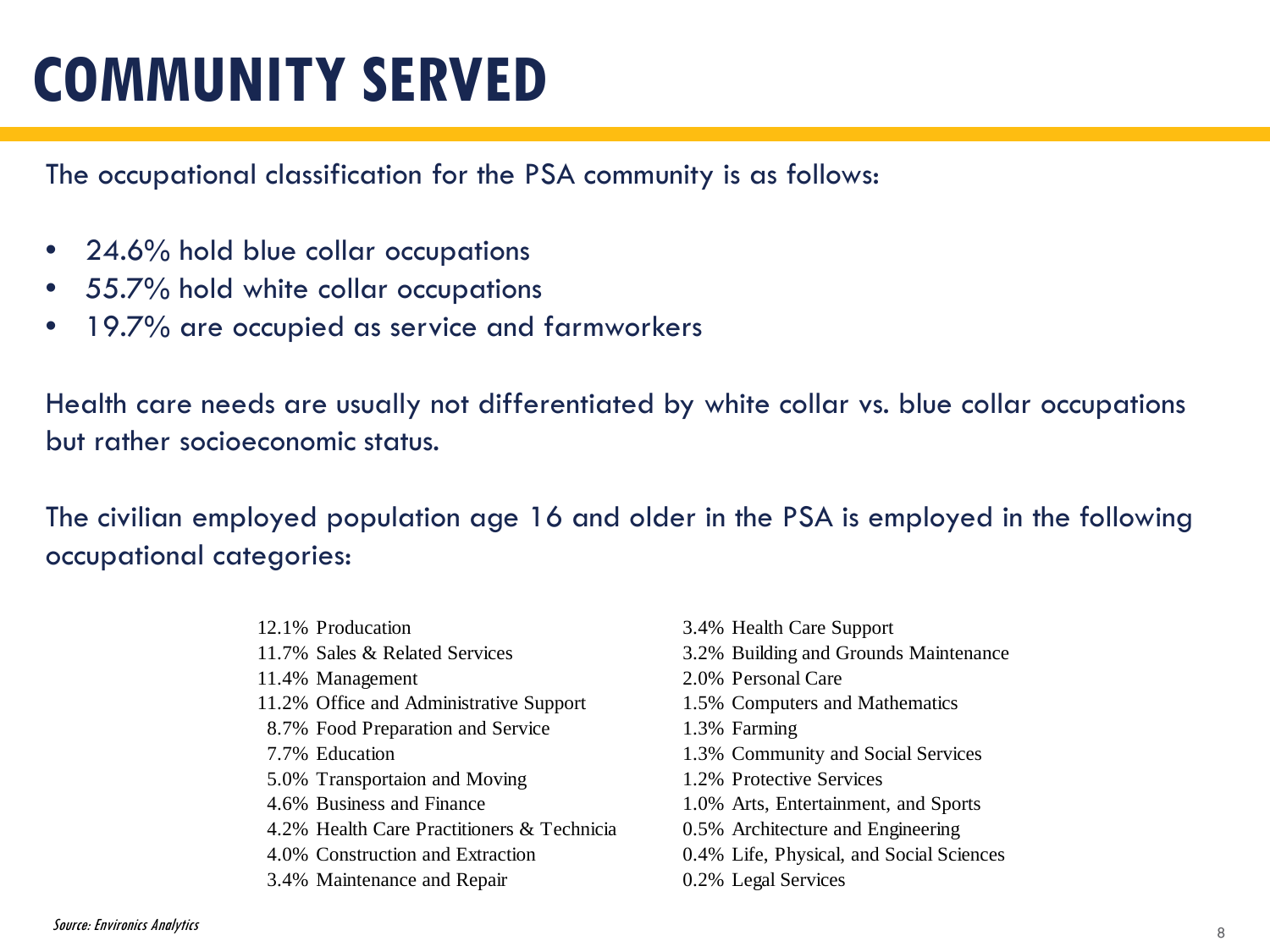The occupational classification for the PSA community is as follows:

- 24.6% hold blue collar occupations
- 55.7% hold white collar occupations
- 19.7% are occupied as service and farmworkers

Health care needs are usually not differentiated by white collar vs. blue collar occupations but rather socioeconomic status.

The civilian employed population age 16 and older in the PSA is employed in the following occupational categories:

- 12.1% Producation
- 11.7% Sales & Related Services
- 11.4% Management
- 11.2% Office and Administrative Support
- 8.7% Food Preparation and Service
- 7.7% Education
- 5.0% Transportaion and Moving
- 4.6% Business and Finance
- 4.2% Health Care Practitioners & Technicia
- 4.0% Construction and Extraction
- 3.4% Maintenance and Repair
- 3.4% Health Care Support
- 3.2% Building and Grounds Maintenance
- 2.0% Personal Care
- 1.5% Computers and Mathematics
- 1.3% Farming
- 1.3% Community and Social Services
- 1.2% Protective Services
- 1.0% Arts, Entertainment, and Sports
- 0.5% Architecture and Engineering
- 0.4% Life, Physical, and Social Sciences
- 0.2% Legal Services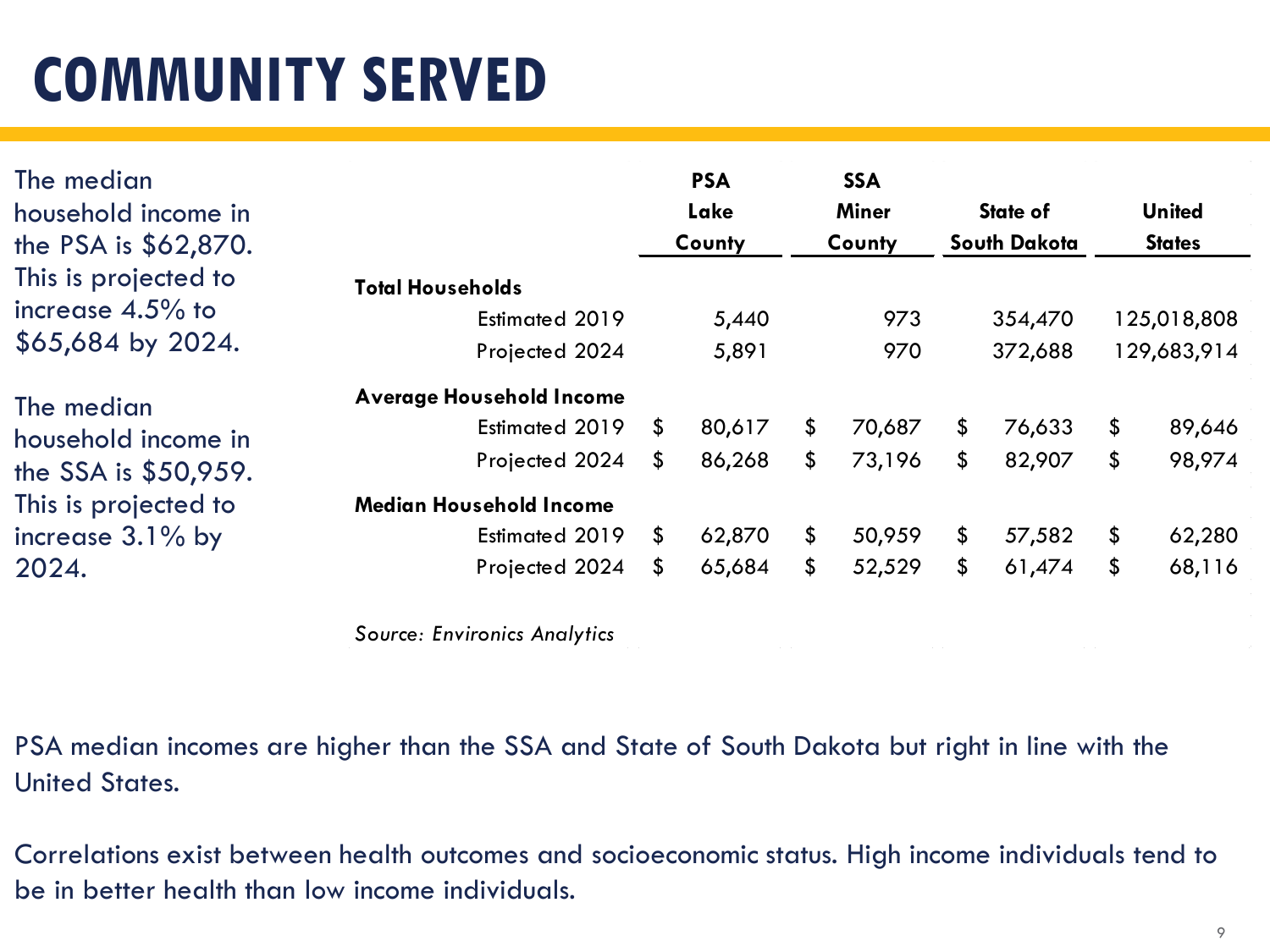| The median<br>household income in<br>the PSA is \$62,870.                                                         |                                                                                                                                           |                     | <b>PSA</b><br>Lake<br>County         |                      | <b>SSA</b><br><b>Miner</b><br>County |                      | State of<br><b>South Dakota</b>      |                                 | <b>United</b><br><b>States</b>       |
|-------------------------------------------------------------------------------------------------------------------|-------------------------------------------------------------------------------------------------------------------------------------------|---------------------|--------------------------------------|----------------------|--------------------------------------|----------------------|--------------------------------------|---------------------------------|--------------------------------------|
| This is projected to<br>increase $4.5\%$ to<br>\$65,684 by 2024.                                                  | <b>Total Households</b><br>Estimated 2019<br>Projected 2024                                                                               |                     | 5,440<br>5,891                       |                      | 973<br>970                           |                      | 354,470<br>372,688                   |                                 | 125,018,808<br>129,683,914           |
| The median<br>household income in<br>the SSA is \$50,959.<br>This is projected to<br>increase $3.1\%$ by<br>2024. | <b>Average Household Income</b><br>Estimated 2019<br>Projected 2024<br><b>Median Household Income</b><br>Estimated 2019<br>Projected 2024 | S.<br>\$<br>S.<br>S | 80,617<br>86,268<br>62,870<br>65,684 | \$<br>\$<br>\$<br>\$ | 70,687<br>73,196<br>50,959<br>52,529 | \$<br>\$<br>\$<br>\$ | 76,633<br>82,907<br>57,582<br>61,474 | $\frac{1}{2}$<br>\$<br>\$<br>\$ | 89,646<br>98,974<br>62,280<br>68,116 |
|                                                                                                                   |                                                                                                                                           |                     |                                      |                      |                                      |                      |                                      |                                 |                                      |

*Source: Environics Analytics*

PSA median incomes are higher than the SSA and State of South Dakota but right in line with the United States.

Correlations exist between health outcomes and socioeconomic status. High income individuals tend to be in better health than low income individuals.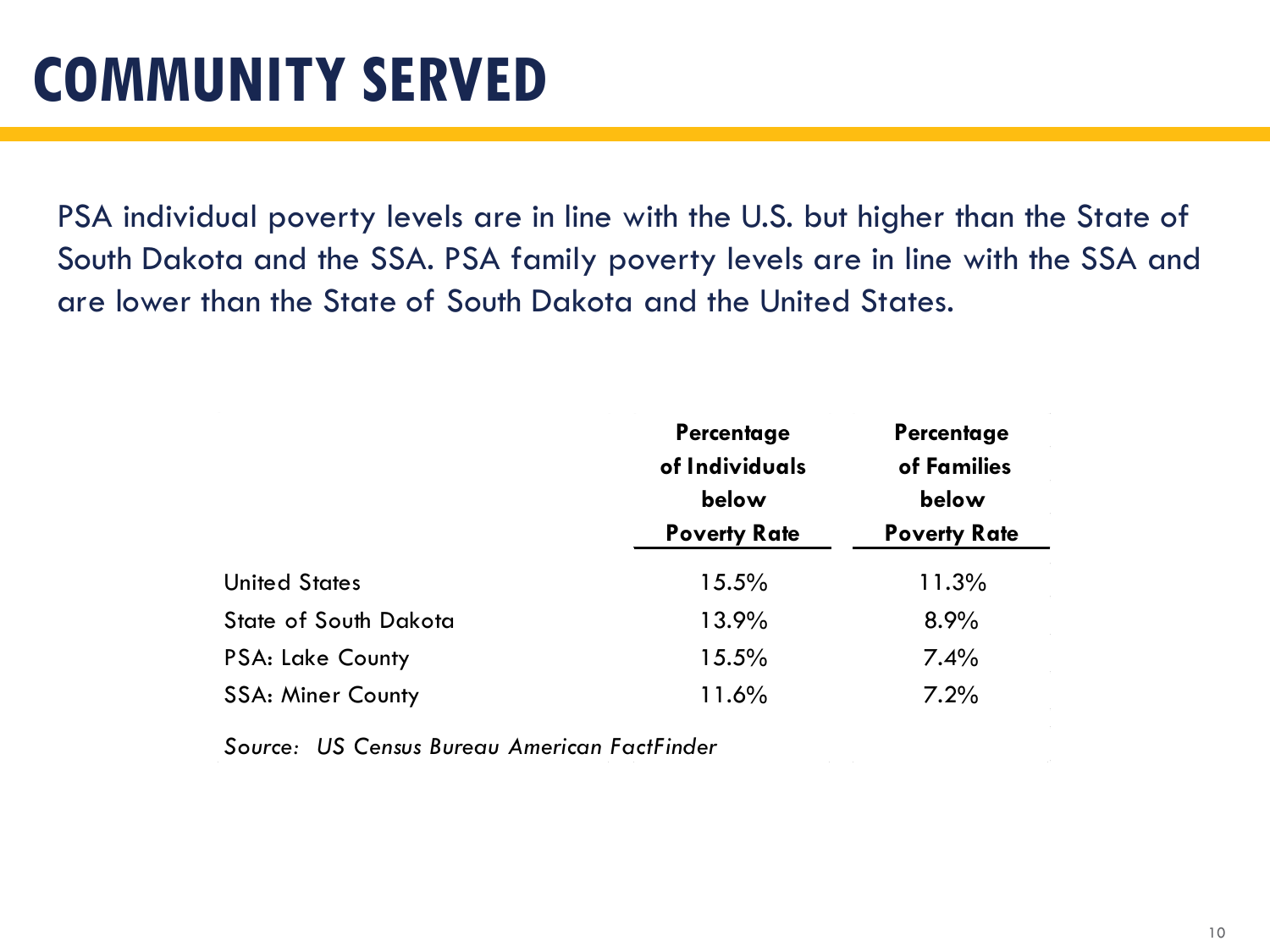PSA individual poverty levels are in line with the U.S. but higher than the State of South Dakota and the SSA. PSA family poverty levels are in line with the SSA and are lower than the State of South Dakota and the United States.

|                              | Percentage<br>of Individuals<br>below<br><b>Poverty Rate</b> | Percentage<br>of Families<br>below<br><b>Poverty Rate</b> |  |
|------------------------------|--------------------------------------------------------------|-----------------------------------------------------------|--|
| <b>United States</b>         | 15.5%                                                        | 11.3%                                                     |  |
| <b>State of South Dakota</b> | 13.9%                                                        | 8.9%                                                      |  |
| <b>PSA: Lake County</b>      | 15.5%                                                        | 7.4%                                                      |  |
| <b>SSA: Miner County</b>     | 11.6%                                                        | 7.2%                                                      |  |

*Source: US Census Bureau American FactFinder*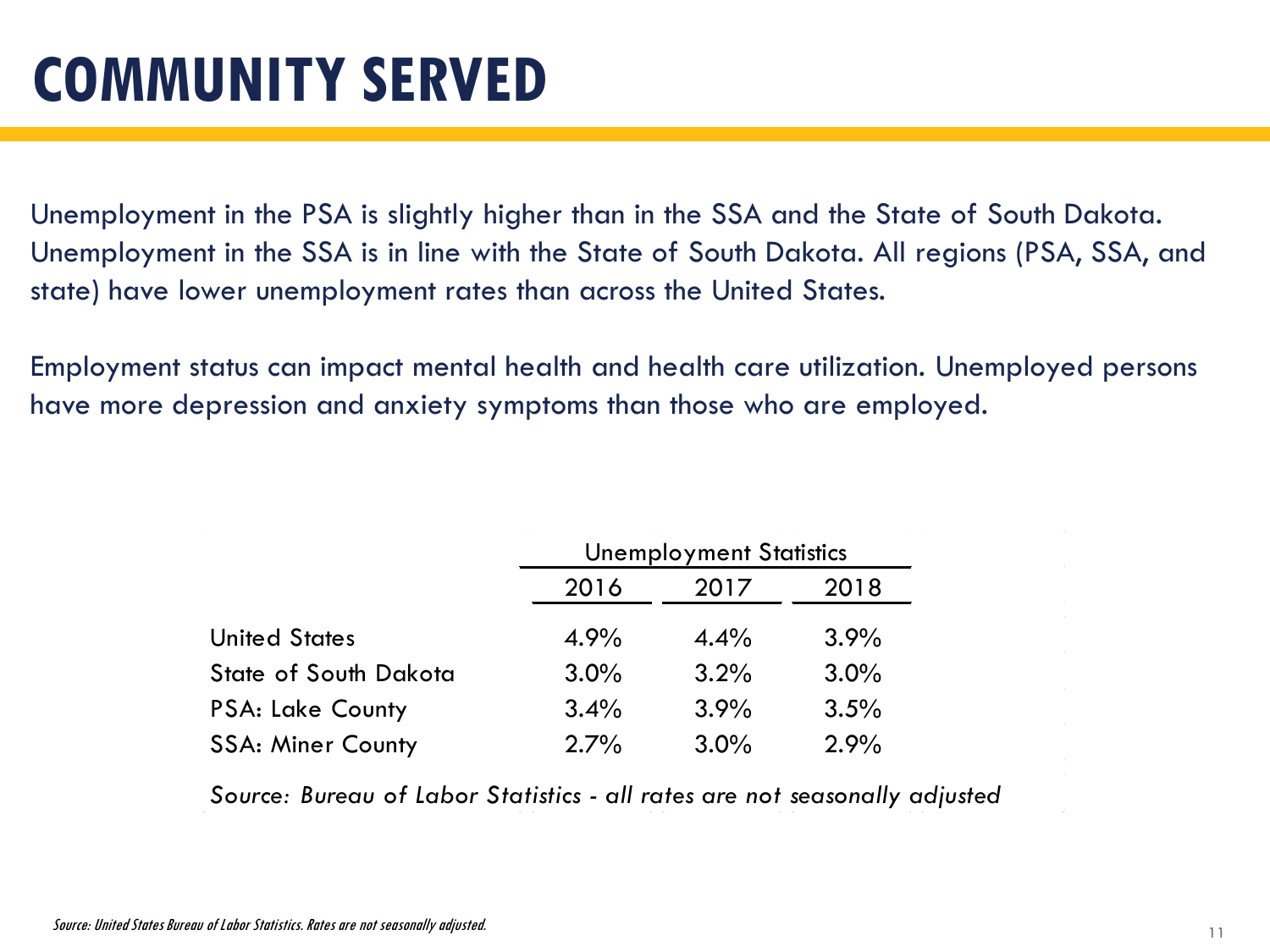Unemployment in the PSA is slightly higher than in the SSA and the State of South Dakota. Unemployment in the SSA is in line with the State of South Dakota. All regions (PSA, SSA, and state) have lower unemployment rates than across the United States.

Employment status can impact mental health and health care utilization. Unemployed persons have more depression and anxiety symptoms than those who are employed.

|                              | <b>Unemployment Statistics</b> |         |         |  |
|------------------------------|--------------------------------|---------|---------|--|
|                              | 2016                           | 2017    | 2018    |  |
| <b>United States</b>         | 4.9%                           | $4.4\%$ | 3.9%    |  |
| <b>State of South Dakota</b> | 3.0%                           | 3.2%    | $3.0\%$ |  |
| <b>PSA: Lake County</b>      | 3.4%                           | 3.9%    | 3.5%    |  |
| <b>SSA: Miner County</b>     | 2.7%                           | 3.0%    | 2.9%    |  |

*Source: Bureau of Labor Statistics - all rates are not seasonally adjusted*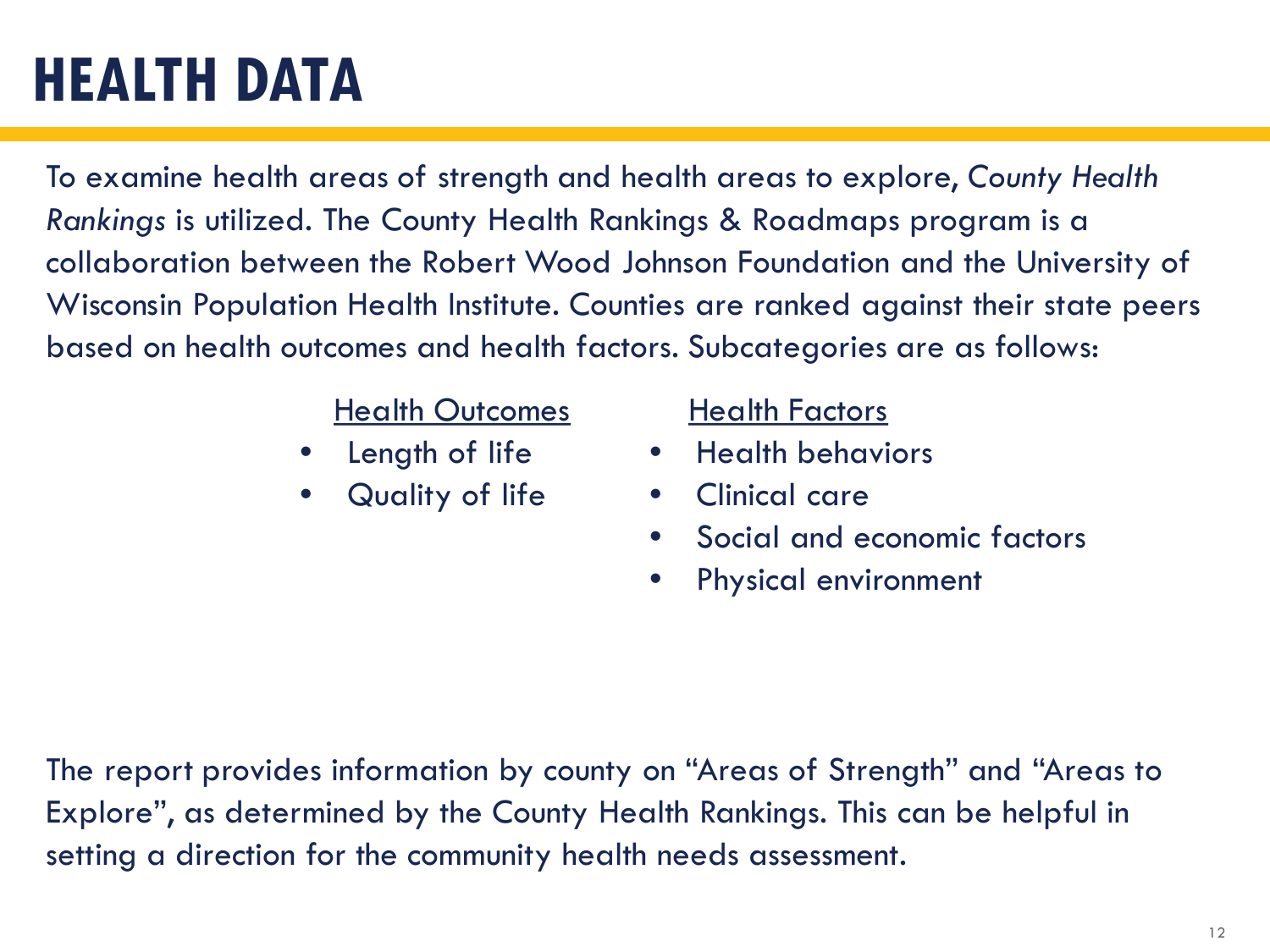## **HEALTH DATA**

To examine health areas of strength and health areas to explore, *County Health Rankings* is utilized. The County Health Rankings & Roadmaps program is a collaboration between the Robert Wood Johnson Foundation and the University of Wisconsin Population Health Institute. Counties are ranked against their state peers based on health outcomes and health factors. Subcategories are as follows:

### Health Outcomes

- Length of life
- Quality of life

### Health Factors

- Health behaviors
- Clinical care
- Social and economic factors
- Physical environment

The report provides information by county on "Areas of Strength" and "Areas to Explore", as determined by the County Health Rankings. This can be helpful in setting a direction for the community health needs assessment.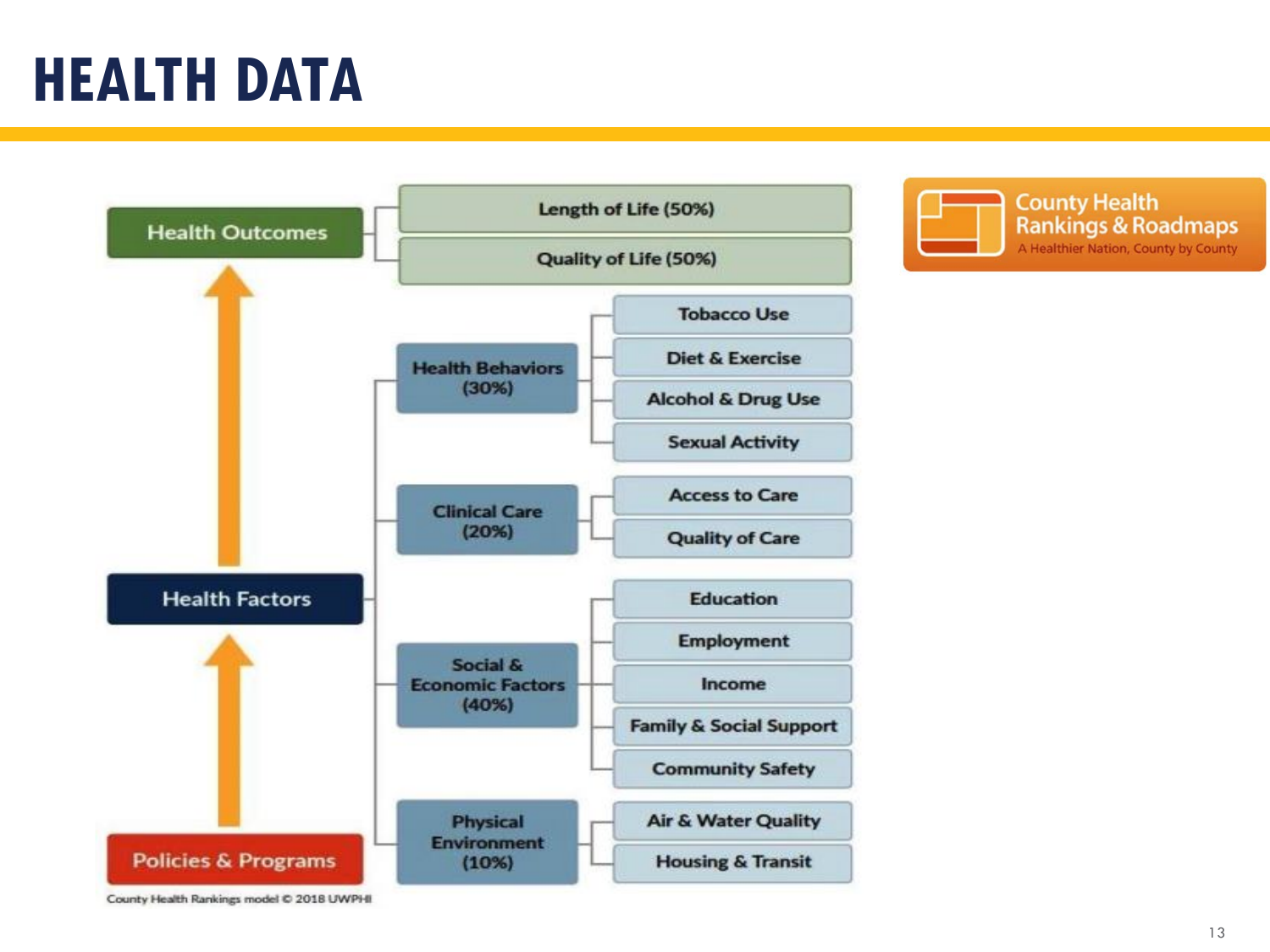### **HEALTH DATA**



**County Health Rankings & Roadmaps** A Healthier Nation, County by County

County Health Rankings model @ 2018 UWPHI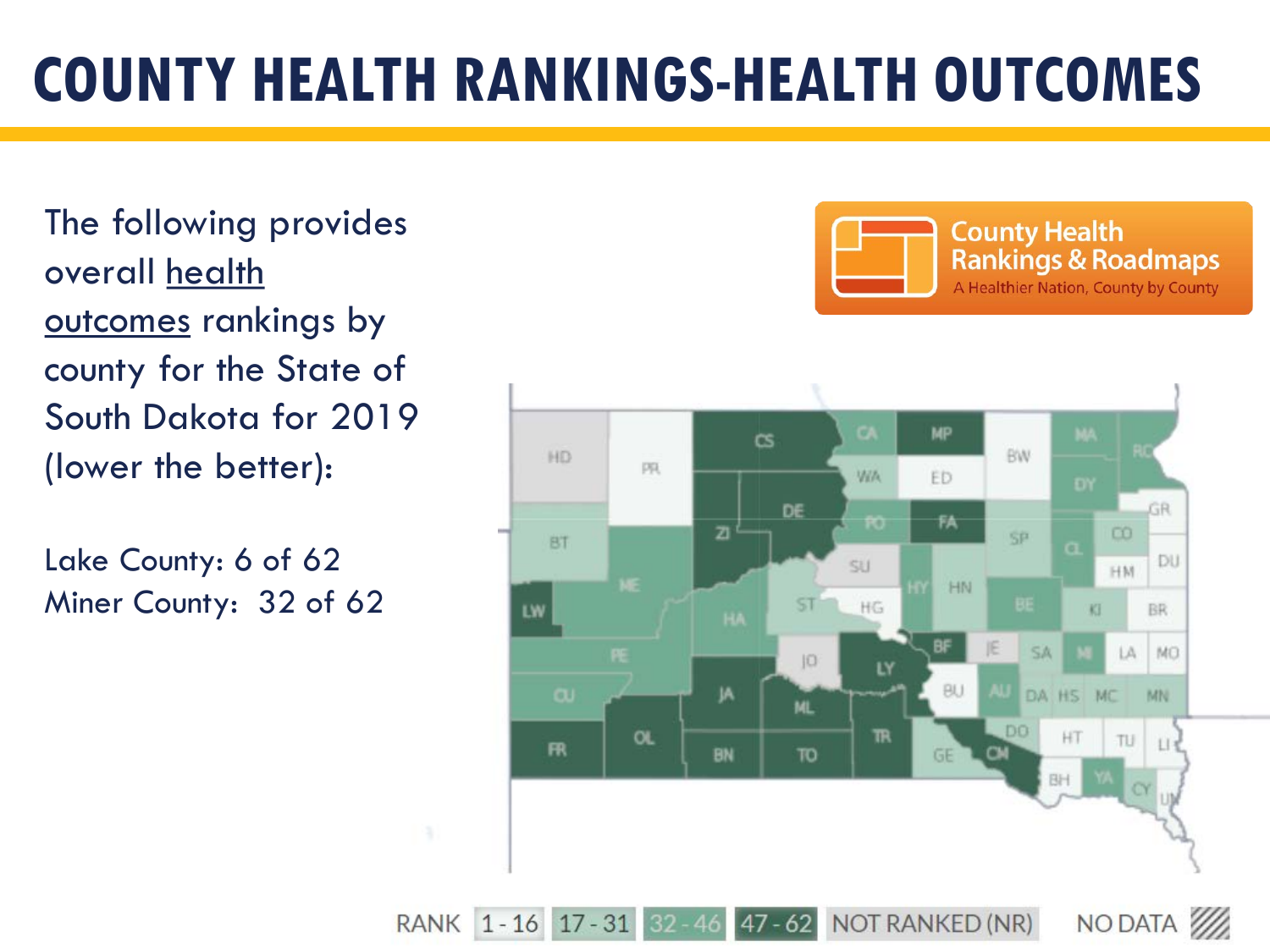## **COUNTY HEALTH RANKINGS-HEALTH OUTCOMES**

The following provides overall health outcomes rankings by county for the State of South Dakota for 2019 (lower the better):

Lake County: 6 of 62 Miner County: 32 of 62



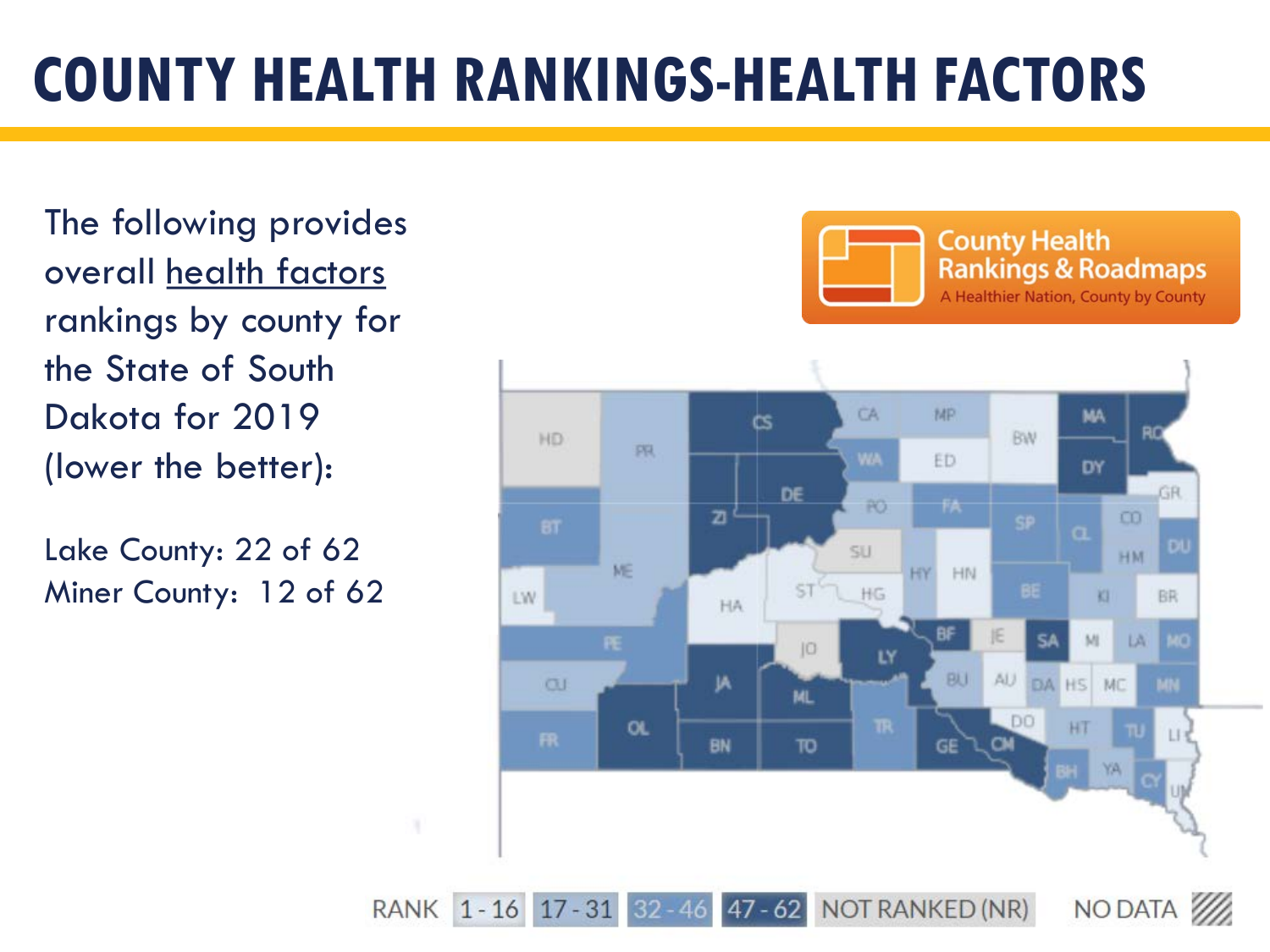## **COUNTY HEALTH RANKINGS-HEALTH FACTORS**

The following provides overall health factors rankings by county for the State of South Dakota for 2019 (lower the better):

Lake County: 22 of 62 Miner County: 12 of 62



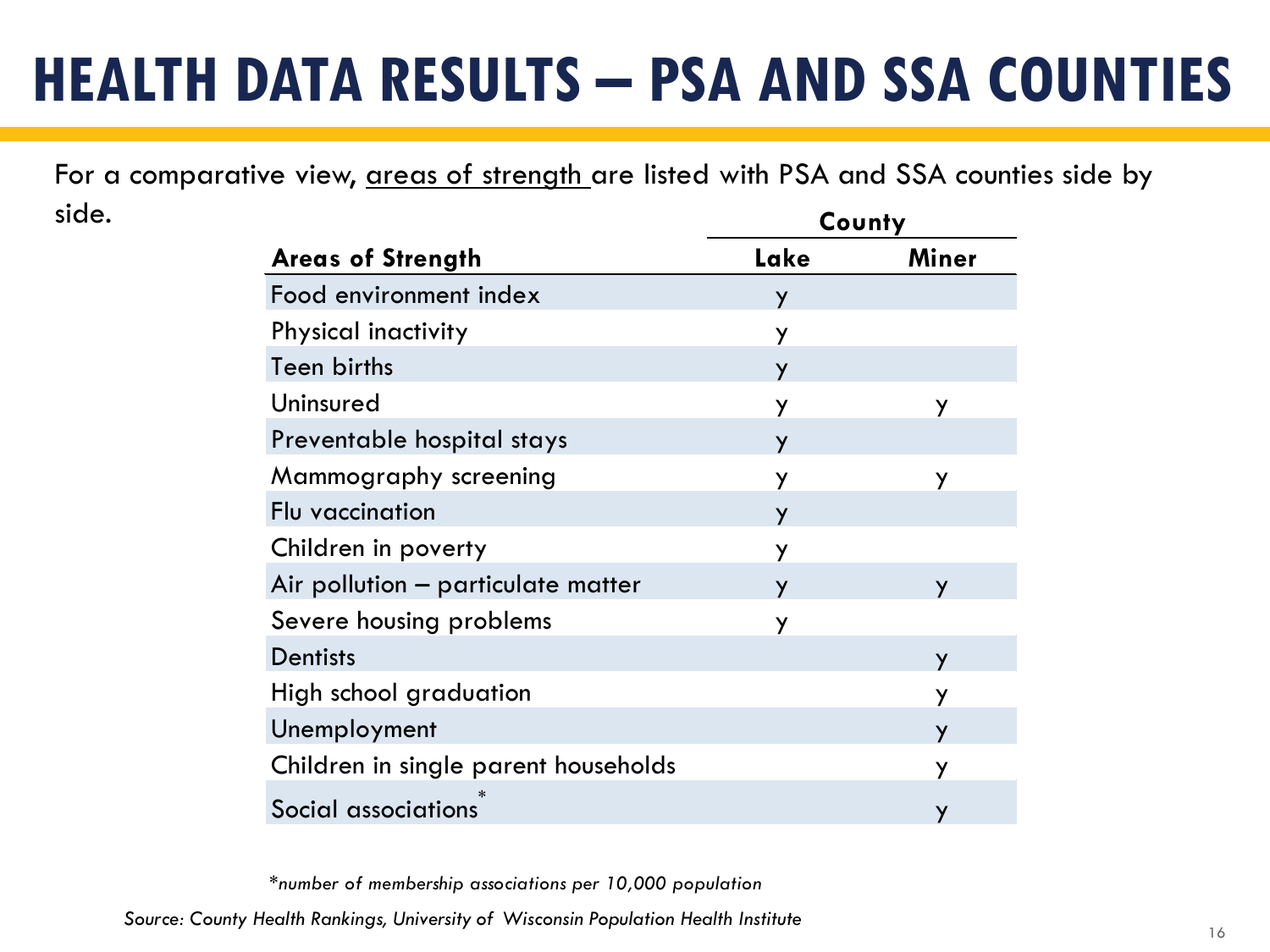## **HEALTH DATA RESULTS – PSA AND SSA COUNTIES**

For a comparative view, areas of strength are listed with PSA and SSA counties side by side. **County**

| <b>Areas of Strength</b>             | Lake | Miner        |  |  |
|--------------------------------------|------|--------------|--|--|
| Food environment index               | Y    |              |  |  |
| Physical inactivity                  | Y    |              |  |  |
| Teen births                          | Y    |              |  |  |
| Uninsured                            | Y    | y            |  |  |
| Preventable hospital stays           | Y    |              |  |  |
| Mammography screening                | y    | У            |  |  |
| Flu vaccination                      | Y    |              |  |  |
| Children in poverty                  | Y    |              |  |  |
| Air pollution - particulate matter   | У    | $\mathbf{v}$ |  |  |
| Severe housing problems              | y    |              |  |  |
| <b>Dentists</b>                      |      | Y            |  |  |
| High school graduation               |      | У            |  |  |
| Unemployment                         |      | У            |  |  |
| Children in single parent households |      | У            |  |  |
| Social associations                  |      |              |  |  |

*\*number of membership associations per 10,000 population*

<sup>16</sup> *Source: County Health Rankings, University of Wisconsin Population Health Institute*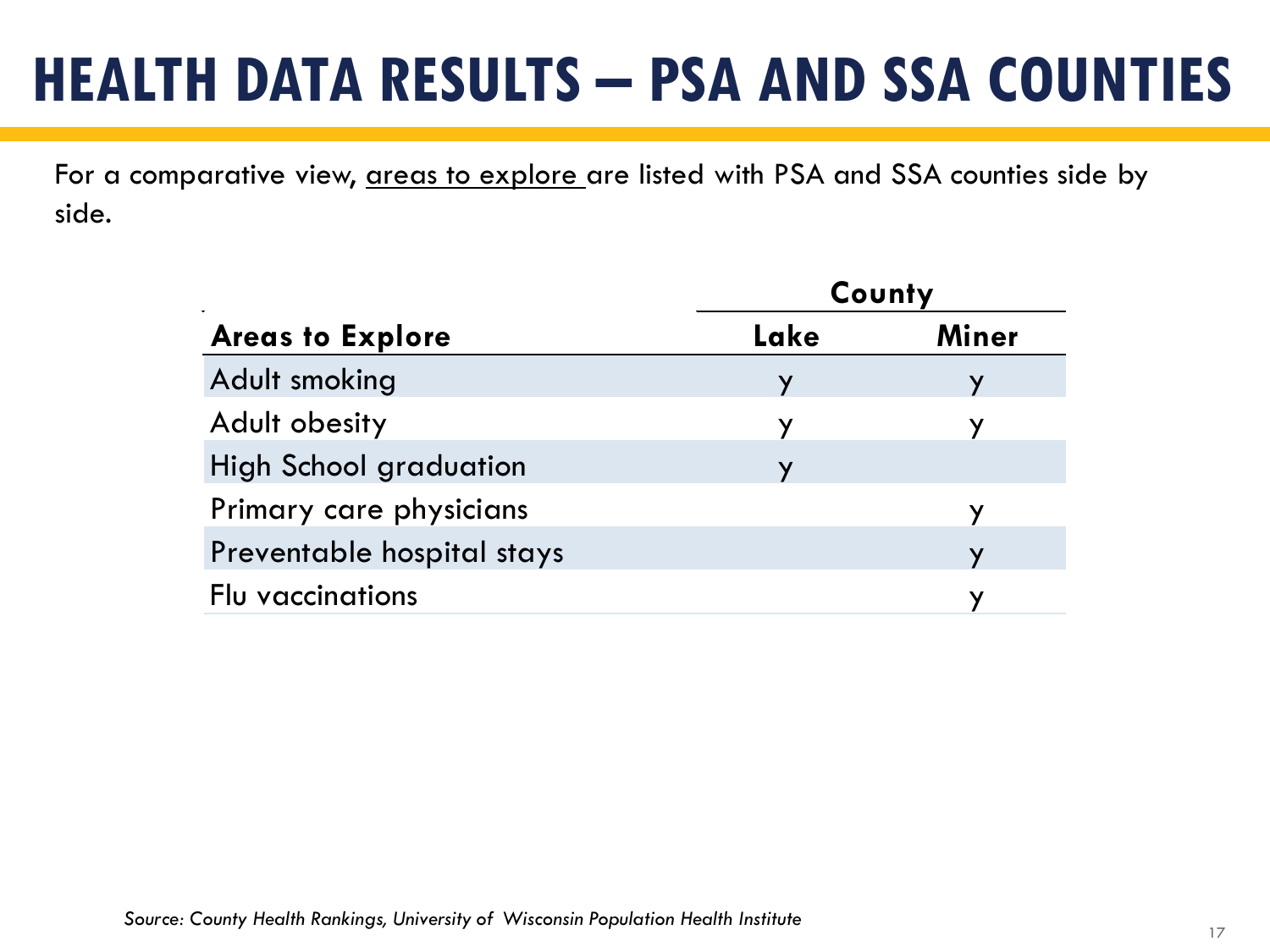## **HEALTH DATA RESULTS – PSA AND SSA COUNTIES**

For a comparative view, areas to explore are listed with PSA and SSA counties side by side.

| $\mathbf{r}$                  | County |              |  |  |
|-------------------------------|--------|--------------|--|--|
| <b>Areas to Explore</b>       | Lake   | <b>Miner</b> |  |  |
| Adult smoking                 | У      |              |  |  |
| Adult obesity                 | У      | У            |  |  |
| <b>High School graduation</b> | V      |              |  |  |
| Primary care physicians       |        |              |  |  |
| Preventable hospital stays    |        |              |  |  |
| Flu vaccinations              |        |              |  |  |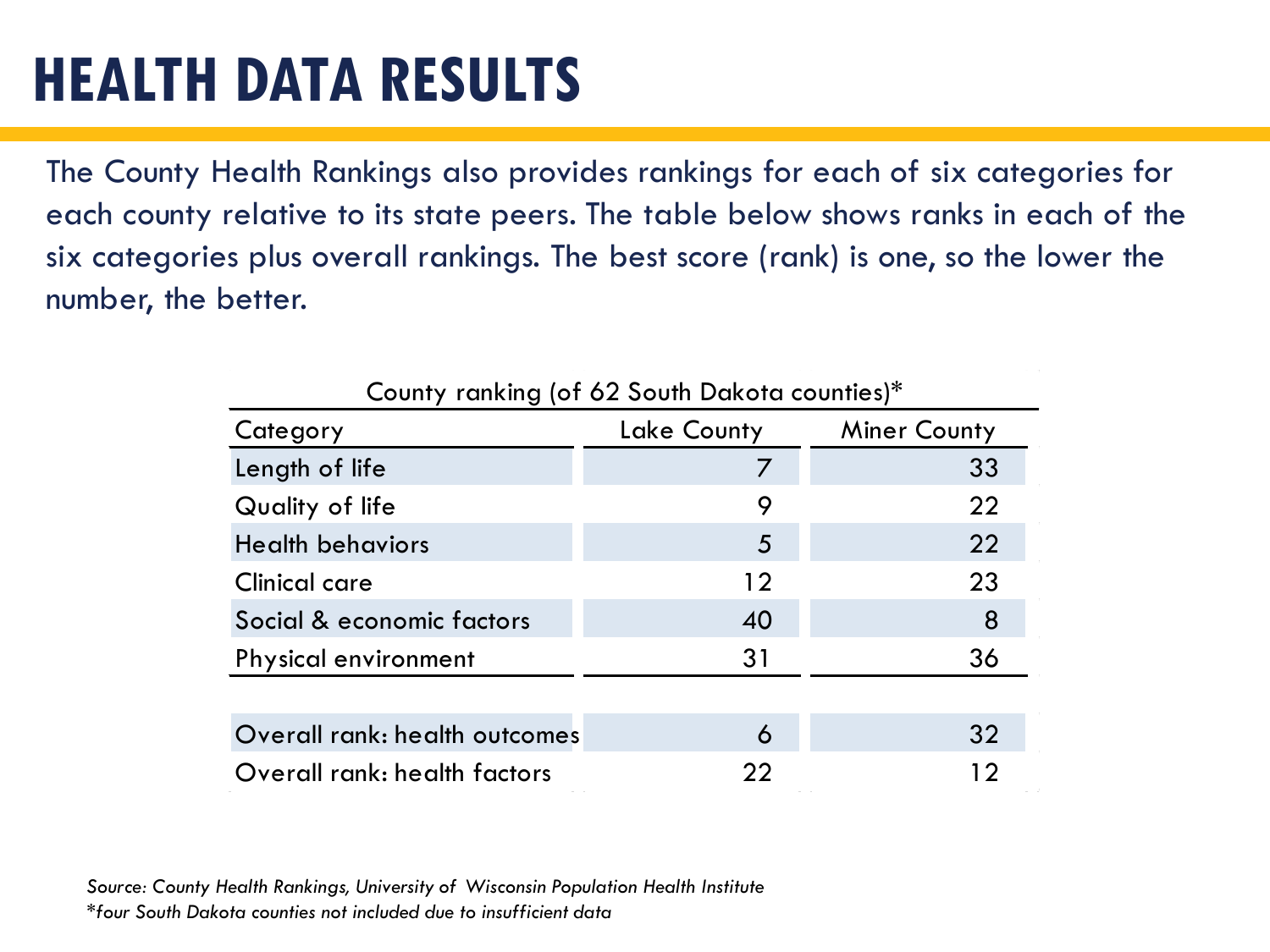### **HEALTH DATA RESULTS**

The County Health Rankings also provides rankings for each of six categories for each county relative to its state peers. The table below shows ranks in each of the six categories plus overall rankings. The best score (rank) is one, so the lower the number, the better.

| County ranking (of 62 South Dakota counties)* |             |                     |  |  |
|-----------------------------------------------|-------------|---------------------|--|--|
| Category                                      | Lake County | <b>Miner County</b> |  |  |
| Length of life                                |             | 33                  |  |  |
| Quality of life                               | 9           | 22                  |  |  |
| <b>Health behaviors</b>                       | 5           | 22                  |  |  |
| Clinical care                                 | 12          | 23                  |  |  |
| Social & economic factors                     | 40          | 8                   |  |  |
| <b>Physical environment</b>                   | 31          | 36                  |  |  |
|                                               |             |                     |  |  |
| Overall rank: health outcomes                 | 6           | 32                  |  |  |
| Overall rank: health factors                  | 22          | 12                  |  |  |

*Source: County Health Rankings, University of Wisconsin Population Health Institute \*four South Dakota counties not included due to insufficient data*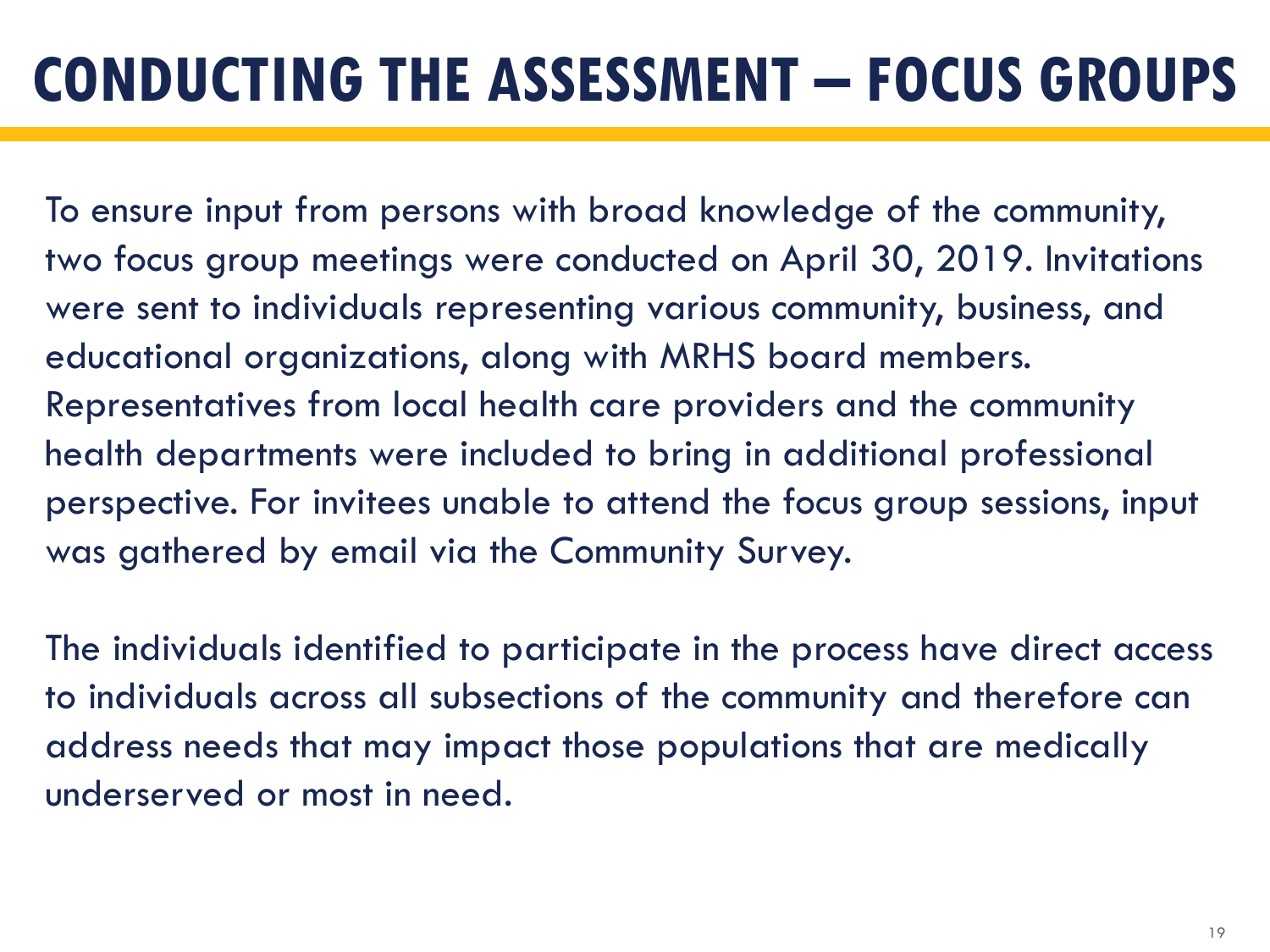To ensure input from persons with broad knowledge of the community, two focus group meetings were conducted on April 30, 2019. Invitations were sent to individuals representing various community, business, and educational organizations, along with MRHS board members. Representatives from local health care providers and the community health departments were included to bring in additional professional perspective. For invitees unable to attend the focus group sessions, input was gathered by email via the Community Survey.

The individuals identified to participate in the process have direct access to individuals across all subsections of the community and therefore can address needs that may impact those populations that are medically underserved or most in need.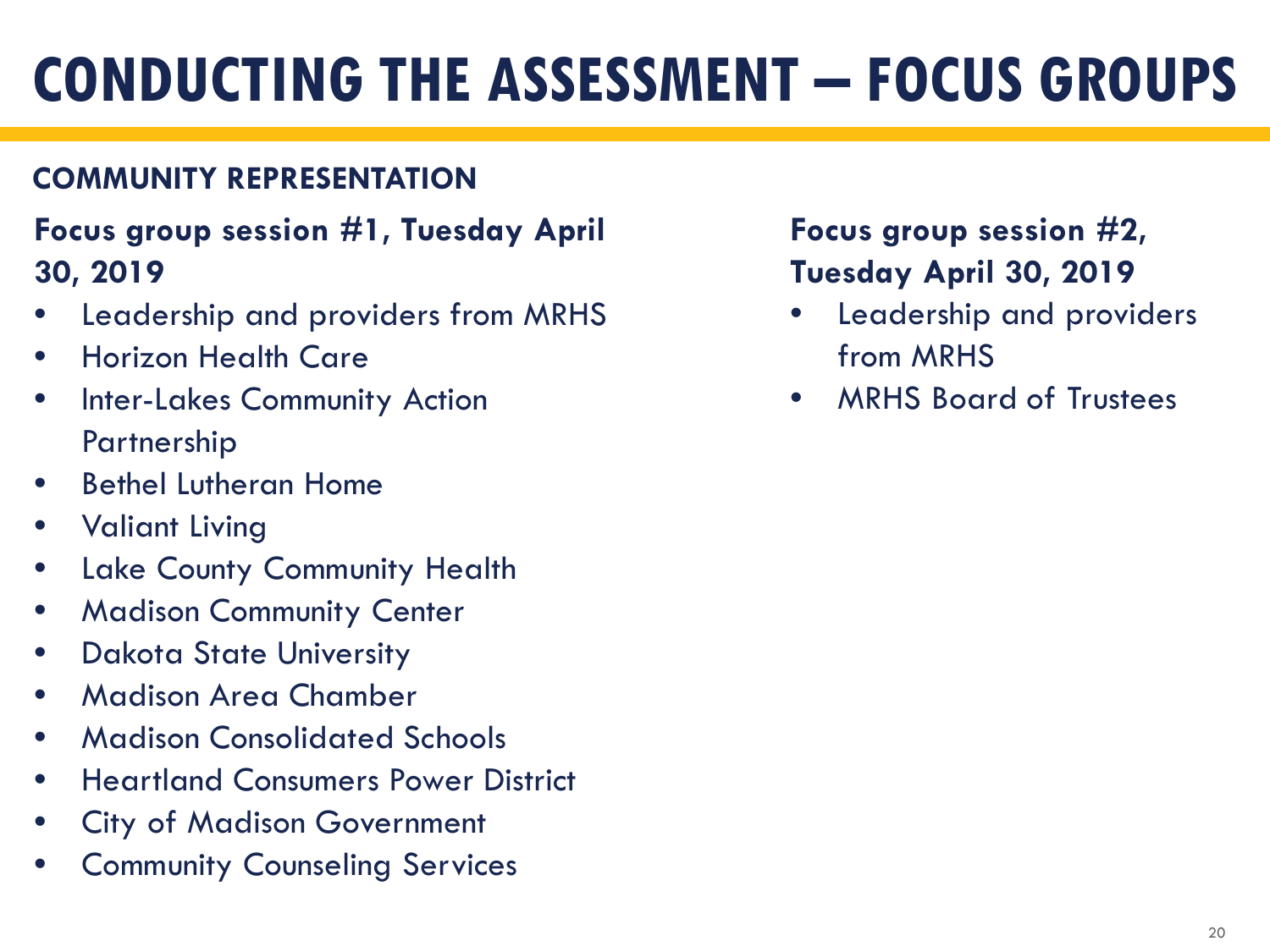### **COMMUNITY REPRESENTATION**

### **Focus group session #1, Tuesday April 30, 2019**

- Leadership and providers from MRHS
- Horizon Health Care
- Inter-Lakes Community Action Partnership
- Bethel Lutheran Home
- Valiant Living
- Lake County Community Health
- **Madison Community Center**
- Dakota State University
- Madison Area Chamber
- Madison Consolidated Schools
- Heartland Consumers Power District
- City of Madison Government
- **Community Counseling Services**

### **Focus group session #2, Tuesday April 30, 2019**

- Leadership and providers from MRHS
- MRHS Board of Trustees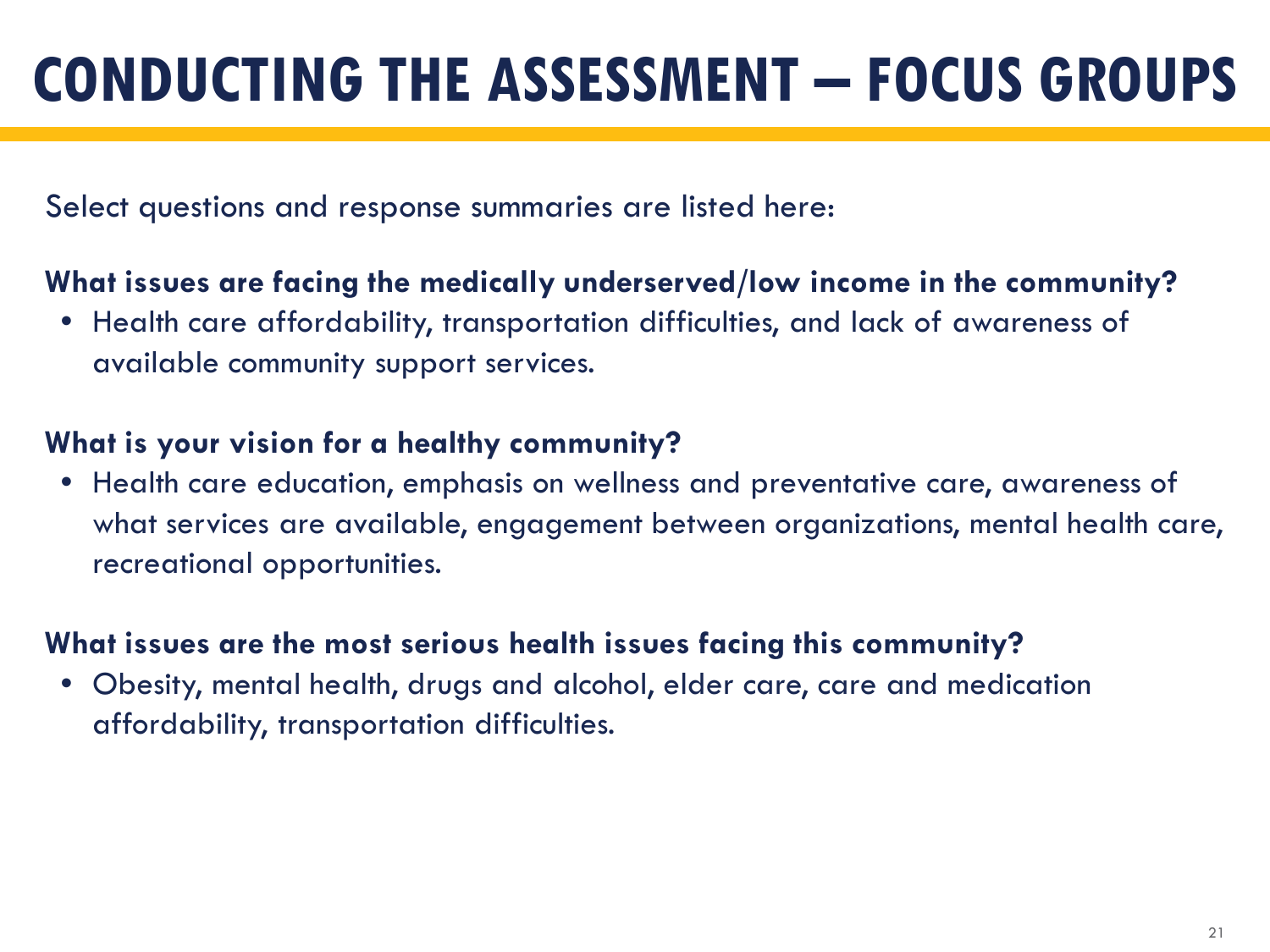Select questions and response summaries are listed here:

#### **What issues are facing the medically underserved/low income in the community?**

• Health care affordability, transportation difficulties, and lack of awareness of available community support services.

#### **What is your vision for a healthy community?**

• Health care education, emphasis on wellness and preventative care, awareness of what services are available, engagement between organizations, mental health care, recreational opportunities.

#### **What issues are the most serious health issues facing this community?**

• Obesity, mental health, drugs and alcohol, elder care, care and medication affordability, transportation difficulties.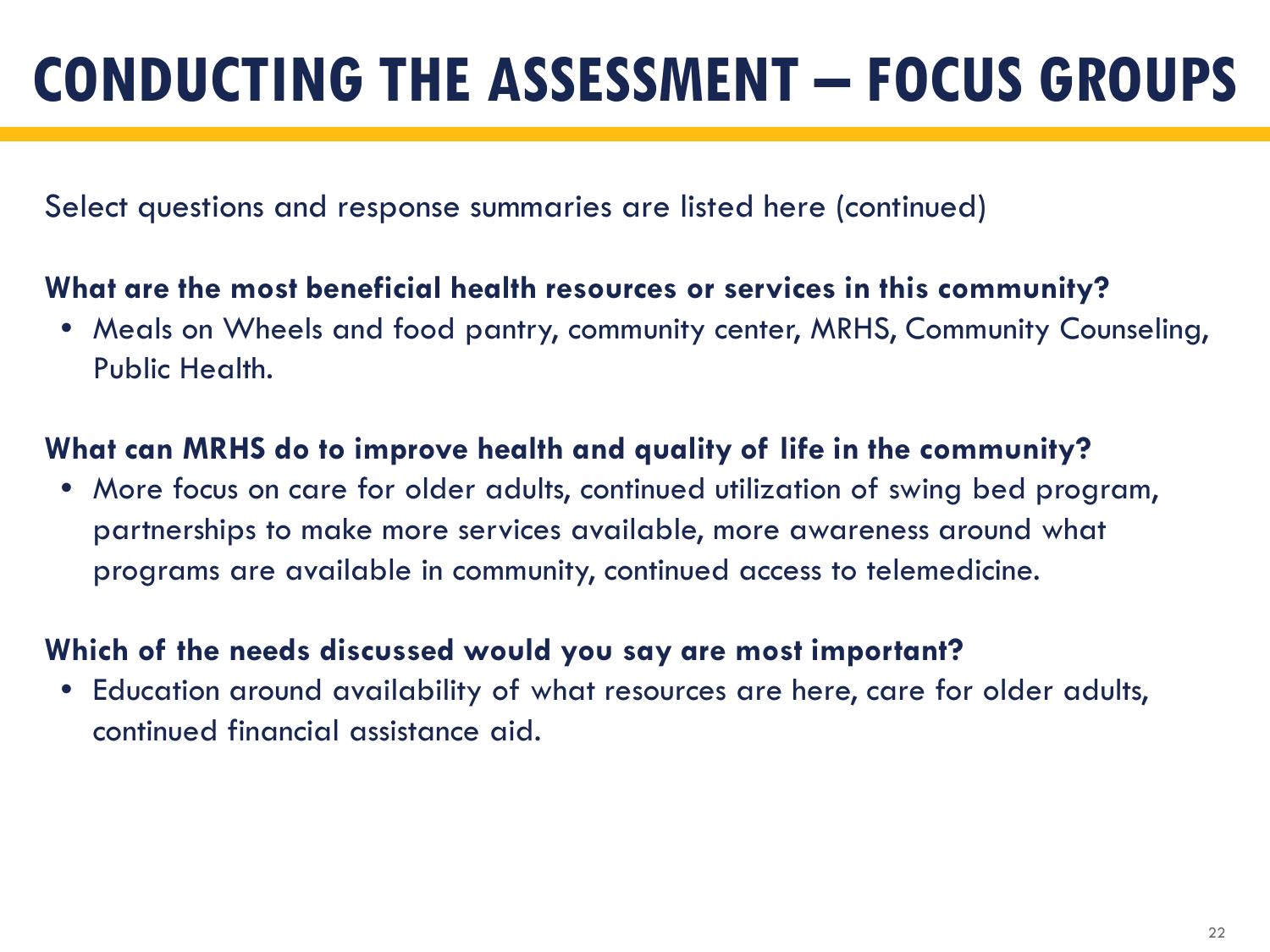Select questions and response summaries are listed here (continued)

### **What are the most beneficial health resources or services in this community?**

• Meals on Wheels and food pantry, community center, MRHS, Community Counseling, Public Health.

### **What can MRHS do to improve health and quality of life in the community?**

• More focus on care for older adults, continued utilization of swing bed program, partnerships to make more services available, more awareness around what programs are available in community, continued access to telemedicine.

### **Which of the needs discussed would you say are most important?**

• Education around availability of what resources are here, care for older adults, continued financial assistance aid.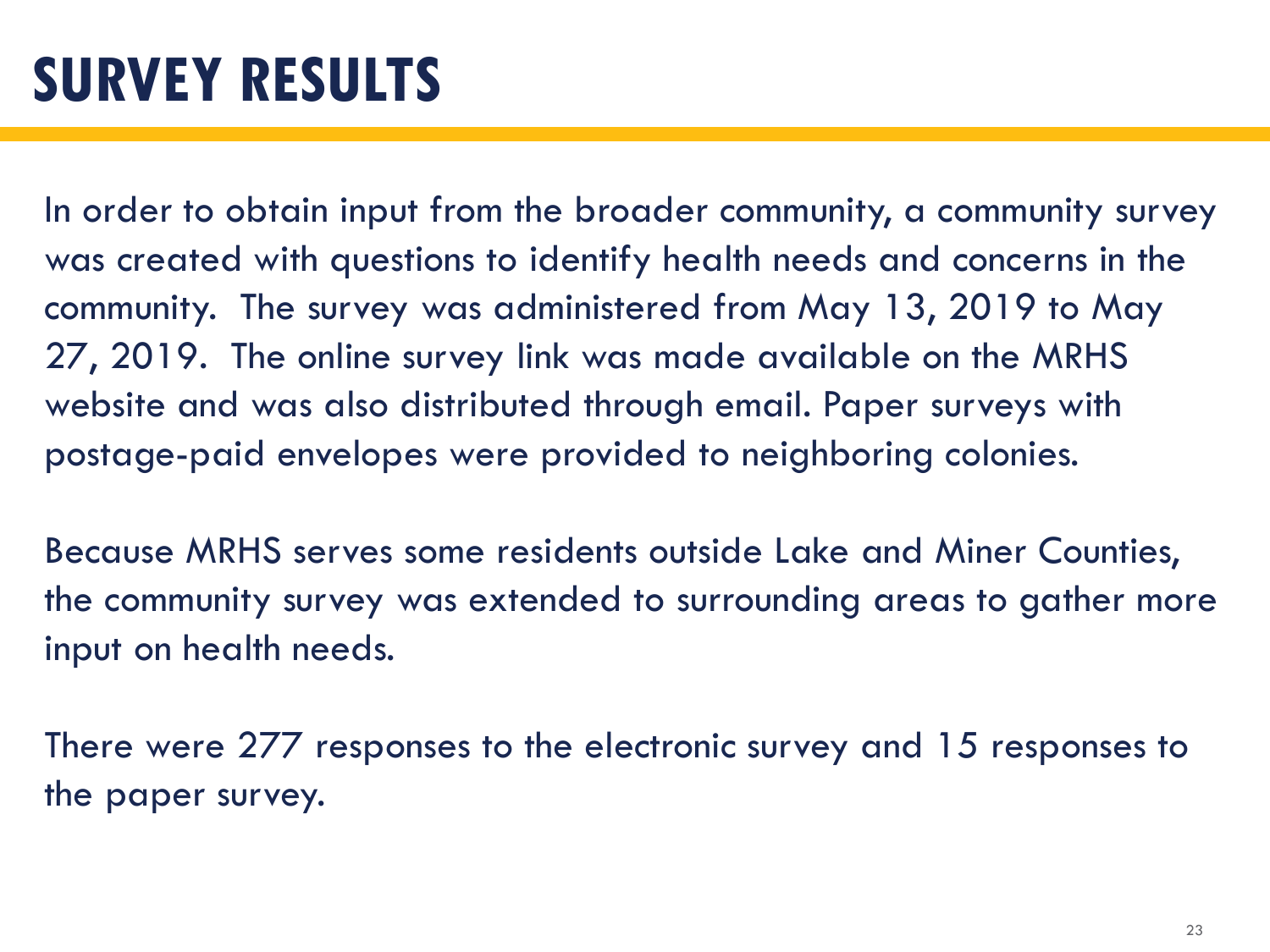In order to obtain input from the broader community, a community survey was created with questions to identify health needs and concerns in the community. The survey was administered from May 13, 2019 to May 27, 2019. The online survey link was made available on the MRHS website and was also distributed through email. Paper surveys with postage-paid envelopes were provided to neighboring colonies.

Because MRHS serves some residents outside Lake and Miner Counties, the community survey was extended to surrounding areas to gather more input on health needs.

There were 277 responses to the electronic survey and 15 responses to the paper survey.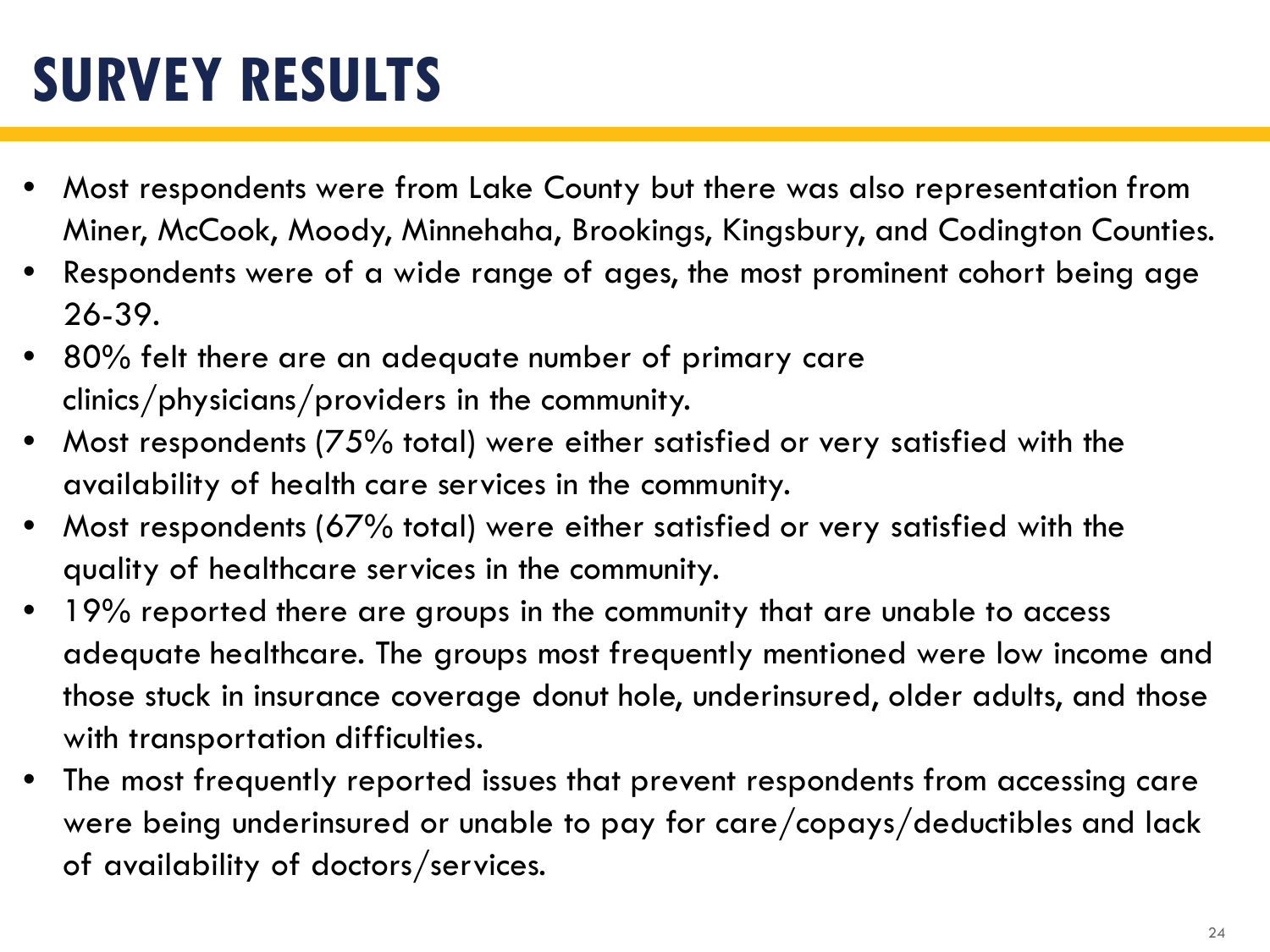## **SURVEY RESULTS**

- Most respondents were from Lake County but there was also representation from Miner, McCook, Moody, Minnehaha, Brookings, Kingsbury, and Codington Counties.
- Respondents were of a wide range of ages, the most prominent cohort being age 26-39.
- 80% felt there are an adequate number of primary care clinics/physicians/providers in the community.
- Most respondents ( $75\%$  total) were either satisfied or very satisfied with the availability of health care services in the community.
- Most respondents (67% total) were either satisfied or very satisfied with the quality of healthcare services in the community.
- 19% reported there are groups in the community that are unable to access adequate healthcare. The groups most frequently mentioned were low income and those stuck in insurance coverage donut hole, underinsured, older adults, and those with transportation difficulties.
- The most frequently reported issues that prevent respondents from accessing care were being underinsured or unable to pay for care/copays/deductibles and lack of availability of doctors/services.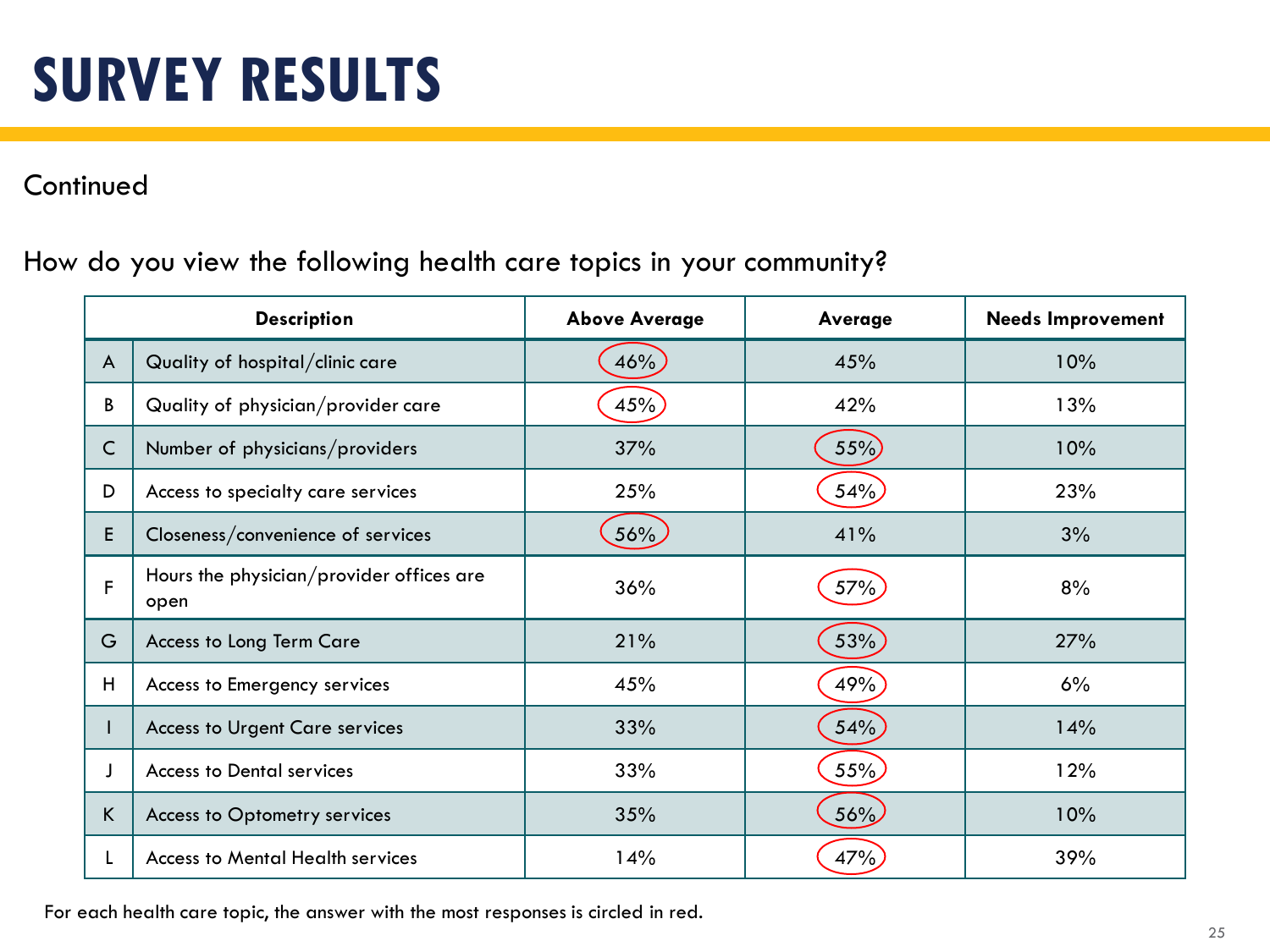#### **Continued**

#### How do you view the following health care topics in your community?

|              | <b>Description</b>                               | <b>Above Average</b> | Average | <b>Needs Improvement</b> |
|--------------|--------------------------------------------------|----------------------|---------|--------------------------|
| $\mathsf{A}$ | Quality of hospital/clinic care                  | 46%                  | 45%     | 10%                      |
| B            | Quality of physician/provider care               | 45%                  | 42%     | 13%                      |
| $\mathsf{C}$ | Number of physicians/providers                   | 37%                  | 55%     | 10%                      |
| D            | Access to specialty care services                | 25%                  | 54%     | 23%                      |
| E            | Closeness/convenience of services                | 56%                  | 41%     | 3%                       |
| F            | Hours the physician/provider offices are<br>open | 36%                  | 57%     | 8%                       |
| G            | Access to Long Term Care                         | 21%                  | 53%     | 27%                      |
| H            | Access to Emergency services                     | 45%                  | 49%     | 6%                       |
|              | <b>Access to Urgent Care services</b>            | 33%                  | 54%     | 14%                      |
|              | <b>Access to Dental services</b>                 | 33%                  | 55%     | 12%                      |
| K.           | Access to Optometry services                     | 35%                  | 56%     | 10%                      |
| L            | <b>Access to Mental Health services</b>          | 14%                  | 47%     | 39%                      |

For each health care topic, the answer with the most responses is circled in red.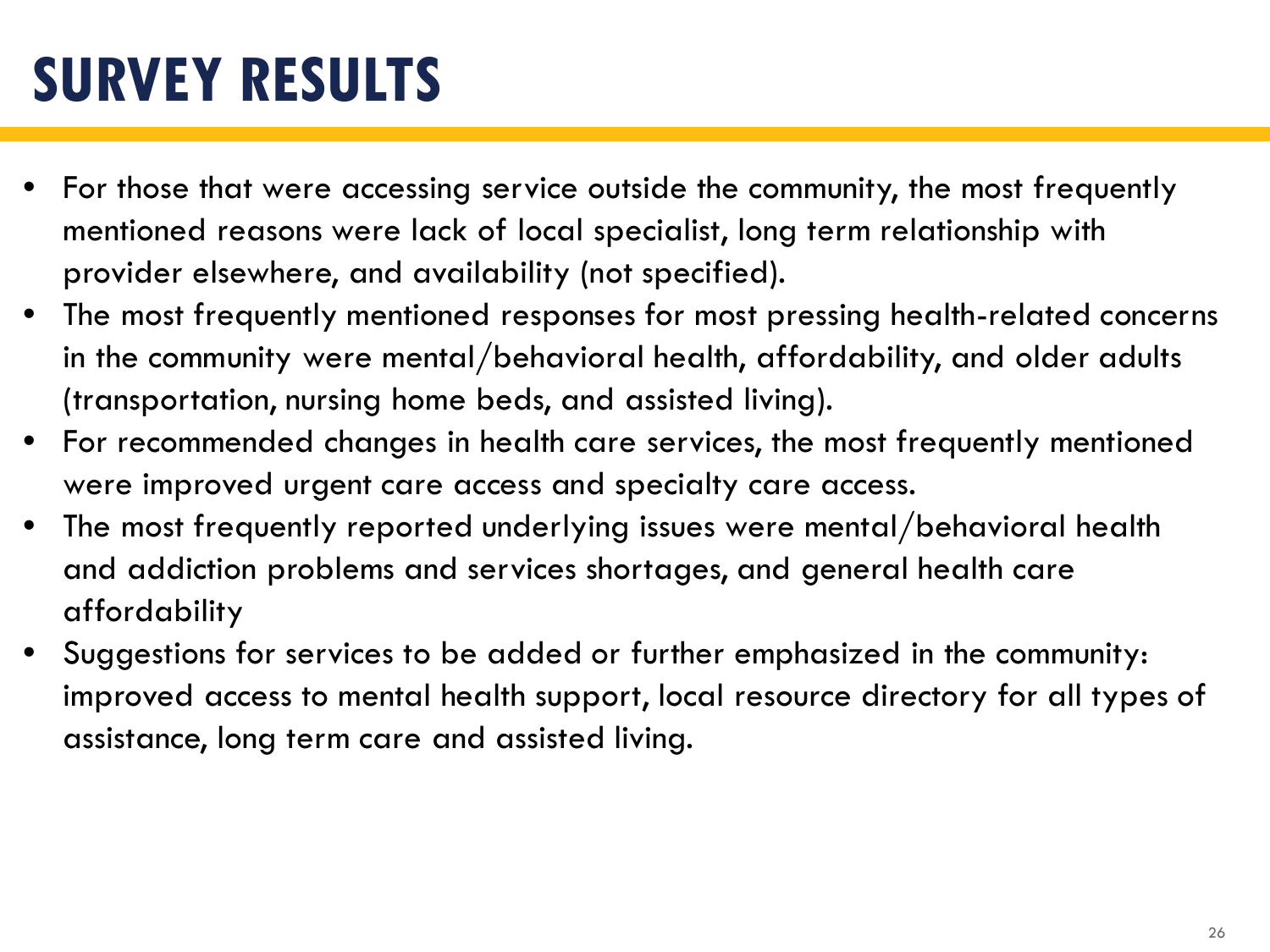## **SURVEY RESULTS**

- For those that were accessing service outside the community, the most frequently mentioned reasons were lack of local specialist, long term relationship with provider elsewhere, and availability (not specified).
- The most frequently mentioned responses for most pressing health-related concerns in the community were mental/behavioral health, affordability, and older adults (transportation, nursing home beds, and assisted living).
- For recommended changes in health care services, the most frequently mentioned were improved urgent care access and specialty care access.
- The most frequently reported underlying issues were mental/behavioral health and addiction problems and services shortages, and general health care affordability
- Suggestions for services to be added or further emphasized in the community: improved access to mental health support, local resource directory for all types of assistance, long term care and assisted living.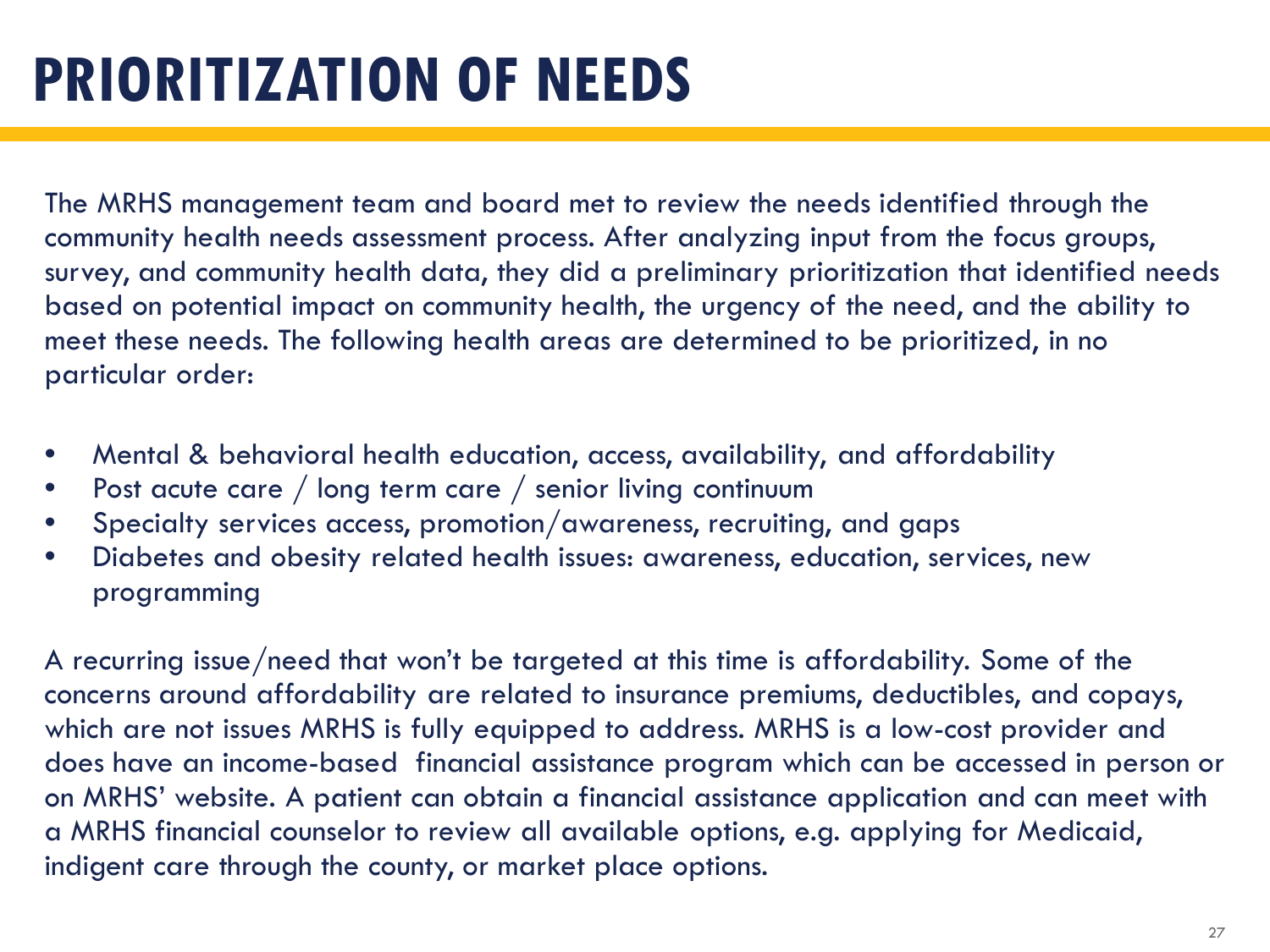## **PRIORITIZATION OF NEEDS**

The MRHS management team and board met to review the needs identified through the community health needs assessment process. After analyzing input from the focus groups, survey, and community health data, they did a preliminary prioritization that identified needs based on potential impact on community health, the urgency of the need, and the ability to meet these needs. The following health areas are determined to be prioritized, in no particular order:

- Mental & behavioral health education, access, availability, and affordability
- Post acute care / long term care / senior living continuum
- Specialty services access, promotion/awareness, recruiting, and gaps
- Diabetes and obesity related health issues: awareness, education, services, new programming

A recurring issue/need that won't be targeted at this time is affordability. Some of the concerns around affordability are related to insurance premiums, deductibles, and copays, which are not issues MRHS is fully equipped to address. MRHS is a low-cost provider and does have an income-based financial assistance program which can be accessed in person or on MRHS' website. A patient can obtain a financial assistance application and can meet with a MRHS financial counselor to review all available options, e.g. applying for Medicaid, indigent care through the county, or market place options.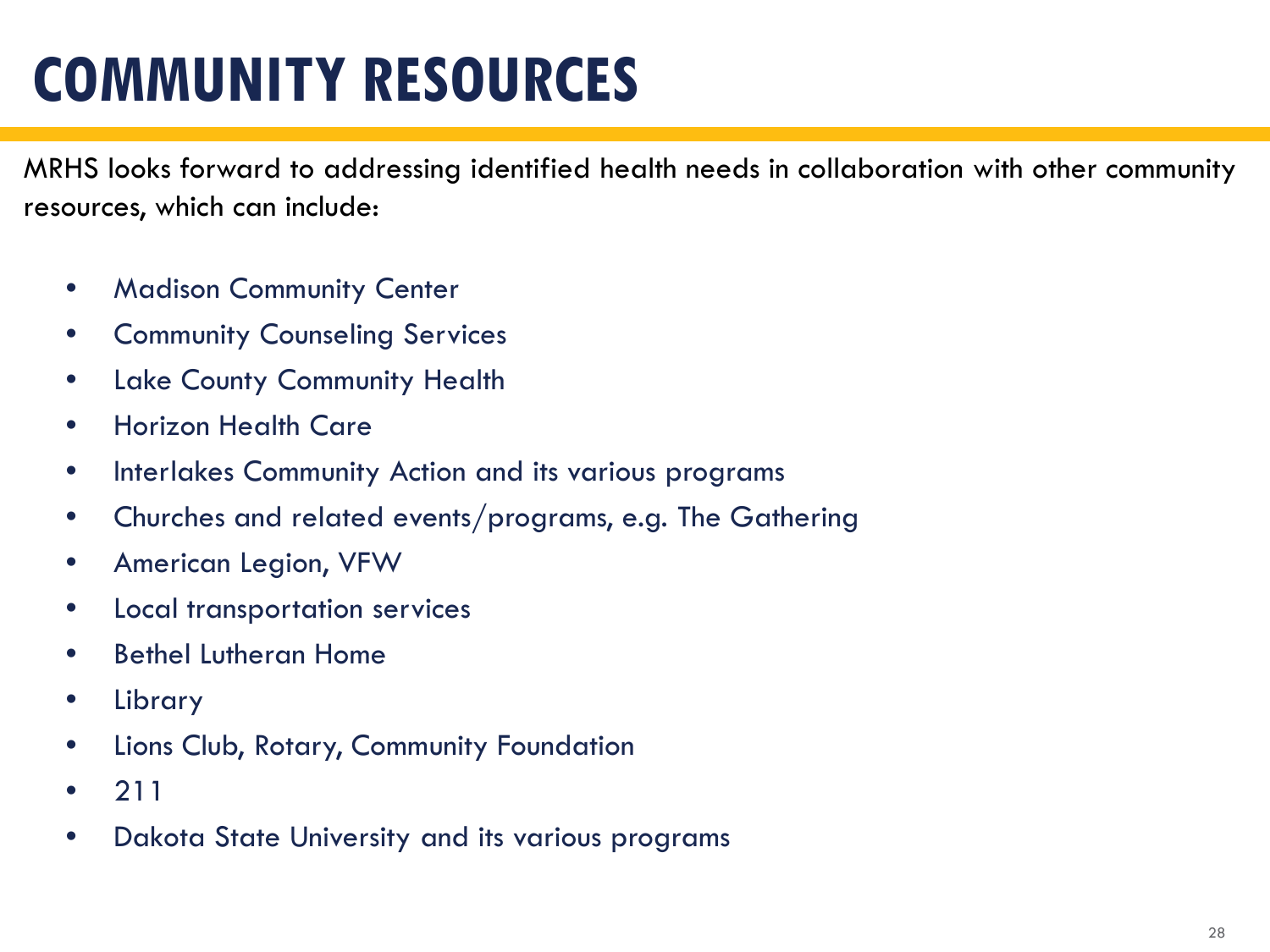## **COMMUNITY RESOURCES**

MRHS looks forward to addressing identified health needs in collaboration with other community resources, which can include:

- Madison Community Center
- Community Counseling Services
- Lake County Community Health
- Horizon Health Care
- Interlakes Community Action and its various programs
- Churches and related events/programs, e.g. The Gathering
- American Legion, VFW
- Local transportation services
- Bethel Lutheran Home
- Library
- Lions Club, Rotary, Community Foundation
- 211
- Dakota State University and its various programs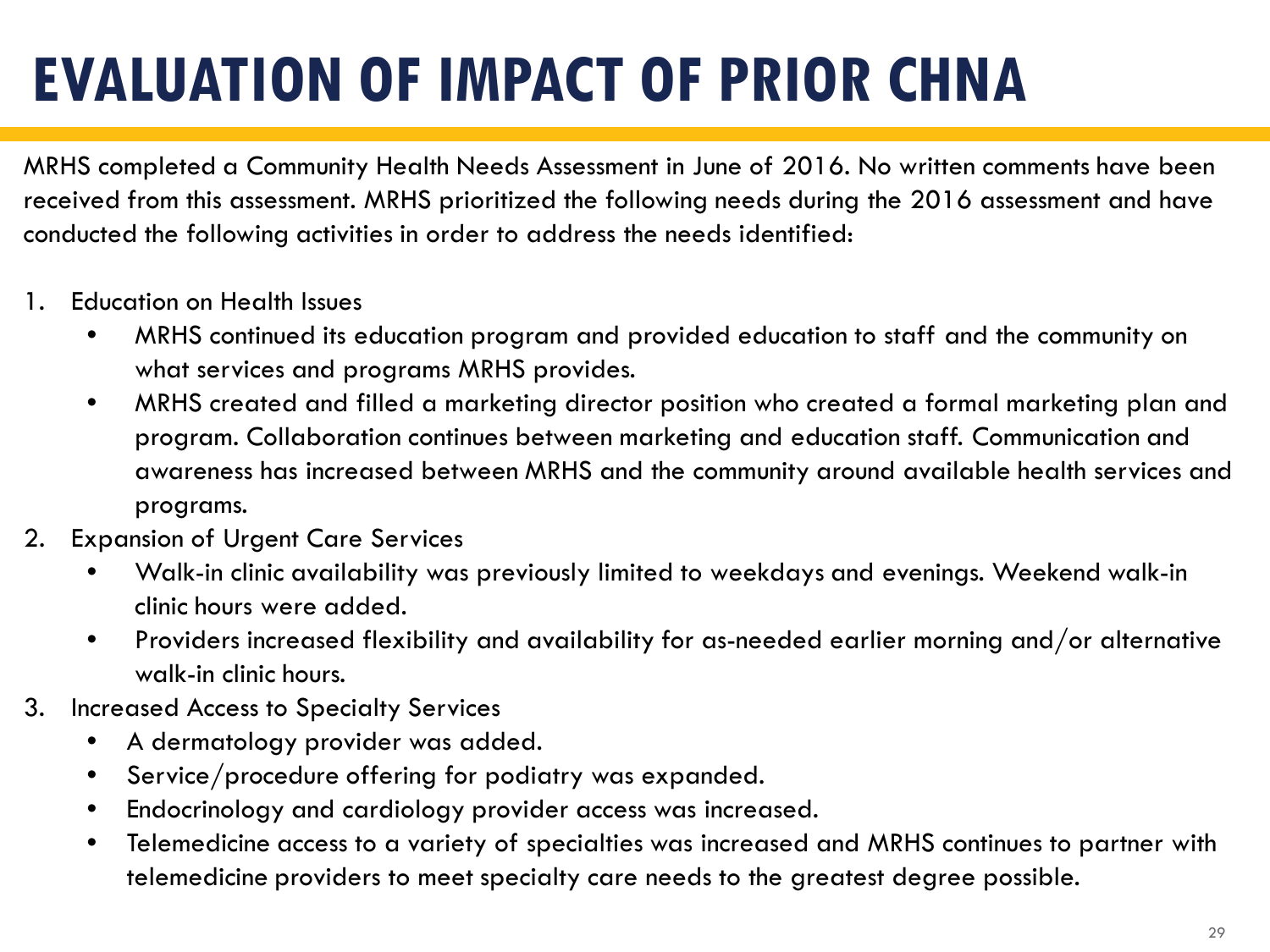# **EVALUATION OF IMPACT OF PRIOR CHNA**

MRHS completed a Community Health Needs Assessment in June of 2016. No written comments have been received from this assessment. MRHS prioritized the following needs during the 2016 assessment and have conducted the following activities in order to address the needs identified:

- 1. Education on Health Issues
	- MRHS continued its education program and provided education to staff and the community on what services and programs MRHS provides.
	- MRHS created and filled a marketing director position who created a formal marketing plan and program. Collaboration continues between marketing and education staff. Communication and awareness has increased between MRHS and the community around available health services and programs.
- 2. Expansion of Urgent Care Services
	- Walk-in clinic availability was previously limited to weekdays and evenings. Weekend walk-in clinic hours were added.
	- Providers increased flexibility and availability for as-needed earlier morning and/or alternative walk-in clinic hours.
- 3. Increased Access to Specialty Services
	- A dermatology provider was added.
	- Service/procedure offering for podiatry was expanded.
	- Endocrinology and cardiology provider access was increased.
	- Telemedicine access to a variety of specialties was increased and MRHS continues to partner with telemedicine providers to meet specialty care needs to the greatest degree possible.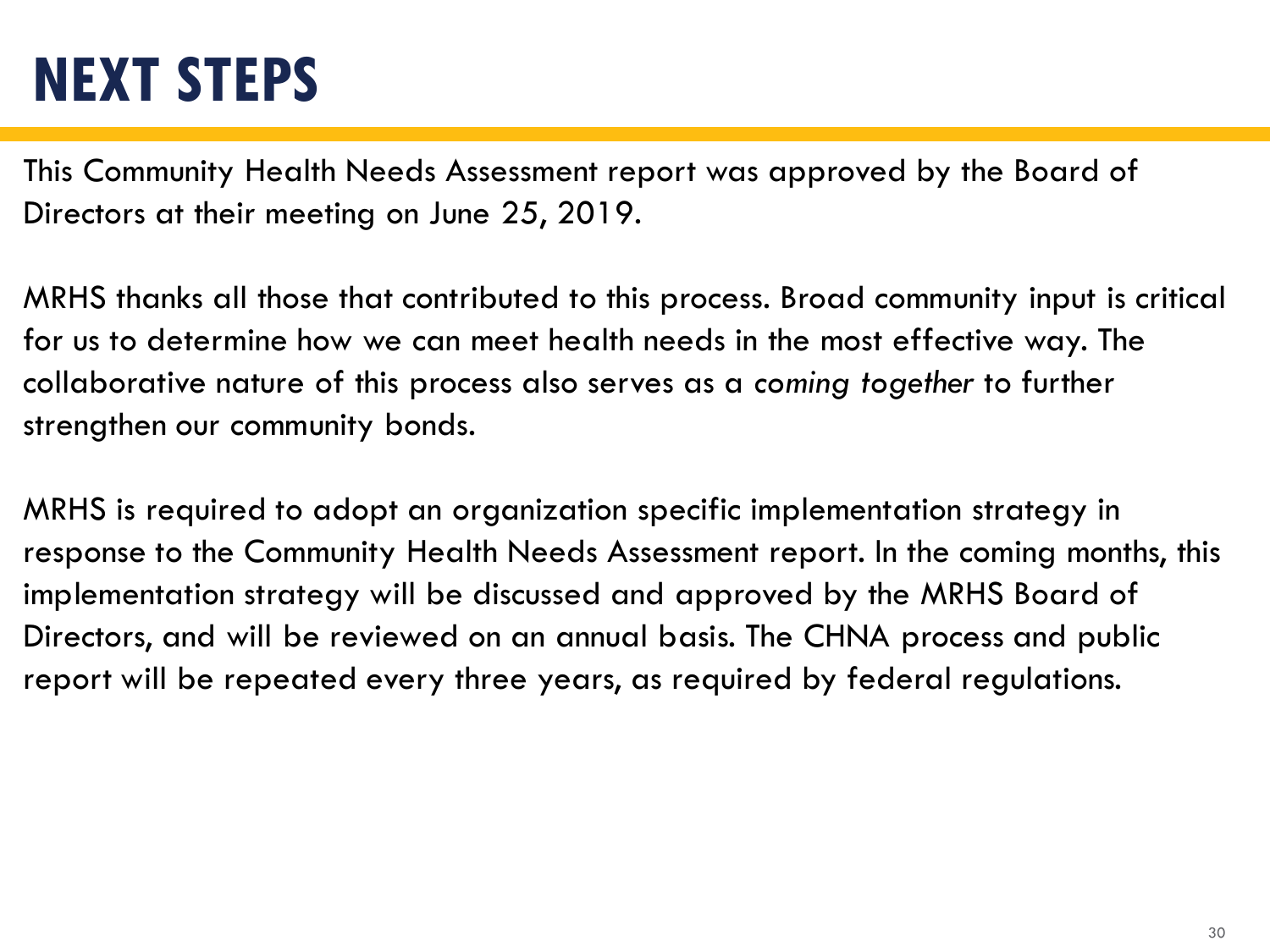### **NEXT STEPS**

This Community Health Needs Assessment report was approved by the Board of Directors at their meeting on June 25, 2019.

MRHS thanks all those that contributed to this process. Broad community input is critical for us to determine how we can meet health needs in the most effective way. The collaborative nature of this process also serves as a *coming together* to further strengthen our community bonds.

MRHS is required to adopt an organization specific implementation strategy in response to the Community Health Needs Assessment report. In the coming months, this implementation strategy will be discussed and approved by the MRHS Board of Directors, and will be reviewed on an annual basis. The CHNA process and public report will be repeated every three years, as required by federal regulations.